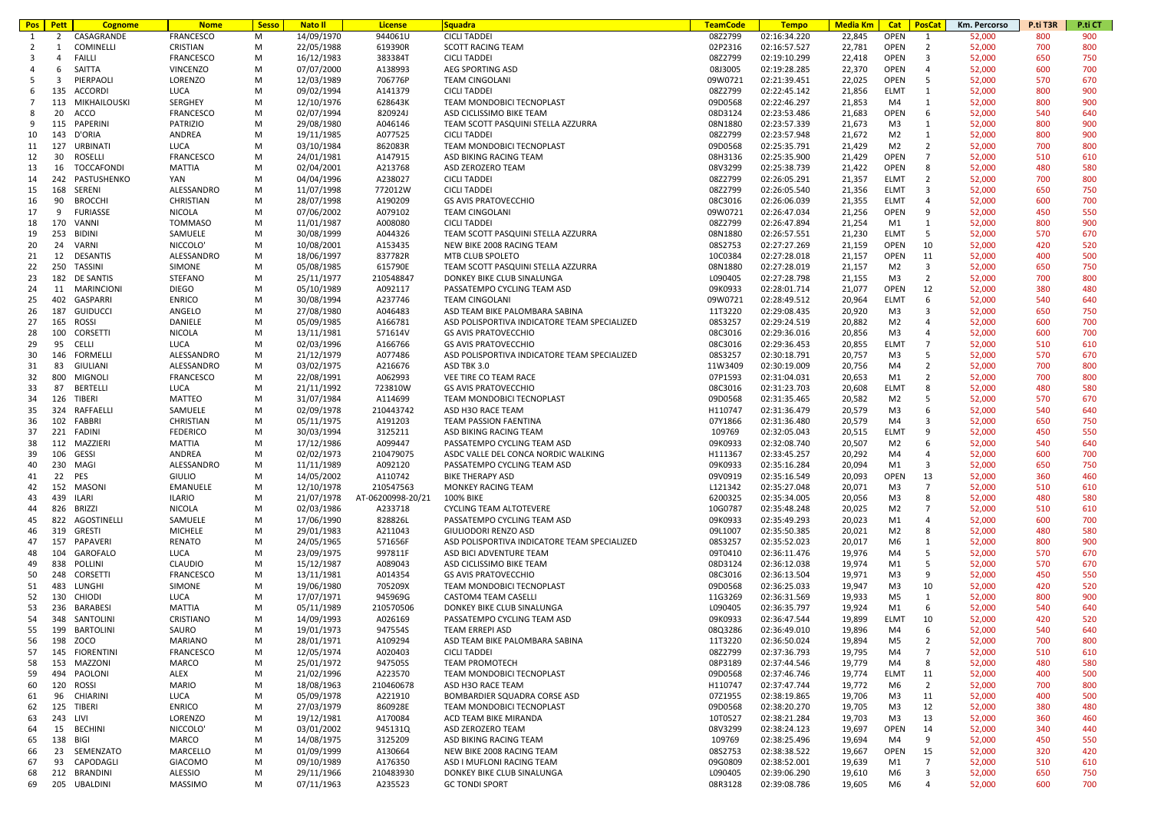| <b>Pos</b>     | Pett           | <b>Cognome</b>    | <b>Nome</b>      | <b>Sesso</b> | <b>Nato II</b> | <b>License</b>    | <b>Squadra</b>                               | <b>TeamCode</b> | <b>Tempo</b> | Media Km | Cat            | Km. Percorso<br><b>PosCat</b>     | P.ti T3R | P.ti CT |
|----------------|----------------|-------------------|------------------|--------------|----------------|-------------------|----------------------------------------------|-----------------|--------------|----------|----------------|-----------------------------------|----------|---------|
| 1              | 2              | CASAGRANDE        | FRANCESCO        | M            | 14/09/1970     | 944061U           | <b>CICLI TADDEI</b>                          | 08Z2799         | 02:16:34.220 | 22,845   | <b>OPEN</b>    | 52,000<br>1                       | 800      | 900     |
| 2              | 1              | COMINELLI         | CRISTIAN         | M            | 22/05/1988     | 619390R           | <b>SCOTT RACING TEAM</b>                     | 02P2316         | 02:16:57.527 | 22,781   | OPEN           | $\overline{2}$<br>52,000          | 700      | 800     |
| 3              | $\overline{4}$ | <b>FAILLI</b>     | FRANCESCO        | M            | 16/12/1983     | 383384T           | <b>CICLI TADDEI</b>                          | 08Z2799         | 02:19:10.299 | 22,418   | OPEN           | 3<br>52,000                       | 650      | 750     |
| $\overline{a}$ | 6              | SAITTA            | <b>VINCENZO</b>  | M            | 07/07/2000     | A138993           | AEG SPORTING ASD                             | 08J3005         | 02:19:28.285 | 22,370   | OPEN           | 52,000<br>$\overline{4}$          | 600      | 700     |
| -5             | 3              | PIERPAOLI         | LORENZO          | M            | 12/03/1989     | 706776P           | <b>TEAM CINGOLANI</b>                        | 09W0721         | 02:21:39.451 | 22,025   | OPEN           | 5<br>52,000                       | 570      | 670     |
|                |                |                   |                  |              |                |                   |                                              |                 |              |          |                |                                   |          |         |
| 6              |                | 135 ACCORDI       | LUCA             | M            | 09/02/1994     | A141379           | <b>CICLI TADDEI</b>                          | 08Z2799         | 02:22:45.142 | 21,856   | ELMT           | 1<br>52,000                       | 800      | 900     |
| $\overline{7}$ | 113            | MIKHAILOUSKI      | SERGHEY          | M            | 12/10/1976     | 628643K           | TEAM MONDOBICI TECNOPLAST                    | 09D0568         | 02:22:46.297 | 21,853   | M4             | 52,000<br>1                       | 800      | 900     |
| 8              | 20             | ACCO              | FRANCESCO        | M            | 02/07/1994     | 820924J           | ASD CICLISSIMO BIKE TEAM                     | 08D3124         | 02:23:53.486 | 21,683   | OPEN           | 6<br>52,000                       | 540      | 640     |
| 9              | 115            | PAPERINI          | PATRIZIO         | M            | 29/08/1980     | A046146           | TEAM SCOTT PASQUINI STELLA AZZURRA           | 08N1880         | 02:23:57.339 | 21,673   | M3             | 1<br>52,000                       | 800      | 900     |
| 10             | 143            | D'ORIA            | ANDREA           | M            | 19/11/1985     | A077525           | <b>CICLI TADDEI</b>                          | 08Z2799         | 02:23:57.948 | 21,672   | M <sub>2</sub> | 52,000<br>1                       | 800      | 900     |
| 11             | 127            | URBINATI          | LUCA             | M            | 03/10/1984     | 862083R           | TEAM MONDOBICI TECNOPLAST                    | 09D0568         | 02:25:35.791 | 21,429   | M2             | $\overline{2}$<br>52,000          | 700      | 800     |
| 12             | 30             | ROSELLI           | FRANCESCO        | M            | 24/01/1981     | A147915           | ASD BIKING RACING TEAM                       | 08H3136         | 02:25:35.900 | 21,429   | OPEN           | $7\overline{ }$<br>52,000         | 510      | 610     |
|                |                |                   |                  |              |                |                   |                                              |                 |              |          |                |                                   |          |         |
| 13             | 16             | TOCCAFONDI        | MATTIA           | M            | 02/04/2001     | A213768           | ASD ZEROZERO TEAM                            | 08V3299         | 02:25:38.739 | 21,422   | OPEN           | 8<br>52,000                       | 480      | 580     |
| 14             |                | 242 PASTUSHENKO   | YAN              | M            | 04/04/1996     | A238027           | <b>CICLI TADDEI</b>                          | 08Z2799         | 02:26:05.291 | 21,357   | ELMT           | 2<br>52,000                       | 700      | 800     |
| 15             | 168            | SERENI            | ALESSANDRO       | M            | 11/07/1998     | 772012W           | <b>CICLI TADDEI</b>                          | 08Z2799         | 02:26:05.540 | 21,356   | <b>ELMT</b>    | 3<br>52,000                       | 650      | 750     |
| 16             | 90             | <b>BROCCHI</b>    | CHRISTIAN        | M            | 28/07/1998     | A190209           | <b>GS AVIS PRATOVECCHIO</b>                  | 08C3016         | 02:26:06.039 | 21,355   | ELMT           | 4<br>52,000                       | 600      | 700     |
| 17             | 9              | <b>FURIASSE</b>   | NICOLA           | M            | 07/06/2002     | A079102           | <b>TEAM CINGOLANI</b>                        | 09W0721         | 02:26:47.034 | 21,256   | OPEN           | 9<br>52,000                       | 450      | 550     |
| 18             | 170            | VANNI             | <b>TOMMASO</b>   | M            | 11/01/1987     | A008080           | <b>CICLI TADDEI</b>                          | 08Z2799         | 02:26:47.894 | 21,254   | M1             | 52,000<br>1                       | 800      | 900     |
| 19             | 253            | <b>BIDINI</b>     | SAMUELE          | M            | 30/08/1999     | A044326           | TEAM SCOTT PASQUINI STELLA AZZURRA           | 08N1880         | 02:26:57.551 | 21,230   | <b>ELMT</b>    | 5<br>52,000                       | 570      | 670     |
|                |                |                   |                  |              |                |                   |                                              |                 |              |          |                |                                   |          |         |
| 20             | 24             | VARNI             | NICCOLO'         | M            | 10/08/2001     | A153435           | NEW BIKE 2008 RACING TEAM                    | 08S2753         | 02:27:27.269 | 21,159   | OPEN           | 10<br>52,000                      | 420      | 520     |
| 21             | 12             | DESANTIS          | ALESSANDRO       | M            | 18/06/1997     | 837782R           | MTB CLUB SPOLETO                             | 10C0384         | 02:27:28.018 | 21,157   | OPEN           | 52,000<br>11                      | 400      | 500     |
| 22             | 250            | TASSINI           | SIMONE           | M            | 05/08/1985     | 615790E           | TEAM SCOTT PASQUINI STELLA AZZURRA           | 08N1880         | 02:27:28.019 | 21,157   | M2             | 3<br>52,000                       | 650      | 750     |
| 23             |                | 182 DE SANTIS     | STEFANO          | M            | 25/11/1977     | 210548847         | DONKEY BIKE CLUB SINALUNGA                   | L090405         | 02:27:28.798 | 21,155   | M3             | $\overline{2}$<br>52,000          | 700      | 800     |
| 24             | 11             | <b>MARINCIONI</b> | <b>DIEGO</b>     | M            | 05/10/1989     | A092117           | PASSATEMPO CYCLING TEAM ASD                  | 09K0933         | 02:28:01.714 | 21,077   | OPEN           | 12<br>52,000                      | 380      | 480     |
| 25             |                | 402 GASPARRI      | <b>ENRICO</b>    | M            | 30/08/1994     | A237746           | <b>TEAM CINGOLANI</b>                        | 09W0721         | 02:28:49.512 | 20,964   | <b>ELMT</b>    | 6<br>52,000                       | 540      | 640     |
|                |                |                   |                  |              |                |                   |                                              |                 |              |          |                |                                   |          |         |
| 26             |                | 187 GUIDUCCI      | ANGELO           | M            | 27/08/1980     | A046483           | ASD TEAM BIKE PALOMBARA SABINA               | 11T3220         | 02:29:08.435 | 20,920   | M <sub>3</sub> | 3<br>52,000                       | 650      | 750     |
| 27             | 165            | ROSSI             | DANIELE          | M            | 05/09/1985     | A166781           | ASD POLISPORTIVA INDICATORE TEAM SPECIALIZED | 08S3257         | 02:29:24.519 | 20,882   | M <sub>2</sub> | 52,000<br>4                       | 600      | 700     |
| 28             | 100            | CORSETTI          | NICOLA           | M            | 13/11/1981     | 571614V           | <b>GS AVIS PRATOVECCHIO</b>                  | 08C3016         | 02:29:36.016 | 20,856   | M3             | $\overline{4}$<br>52,000          | 600      | 700     |
| 29             | 95             | CELLI             | LUCA             | M            | 02/03/1996     | A166766           | <b>GS AVIS PRATOVECCHIO</b>                  | 08C3016         | 02:29:36.453 | 20,855   | <b>ELMT</b>    | $\overline{7}$<br>52,000          | 510      | 610     |
| 30             | 146            | FORMELLI          | ALESSANDRO       | M            | 21/12/1979     | A077486           | ASD POLISPORTIVA INDICATORE TEAM SPECIALIZED | 08S3257         | 02:30:18.791 | 20,757   | M3             | 5<br>52,000                       | 570      | 670     |
| 31             | 83             | GIULIANI          | ALESSANDRO       | M            | 03/02/1975     | A216676           | ASD TBK 3.0                                  | 11W3409         | 02:30:19.009 | 20,756   | M4             | 2<br>52,000                       | 700      | 800     |
| 32             | 800            | MIGNOLI           | FRANCESCO        | M            | 22/08/1991     | A062993           | VEE TIRE CO TEAM RACE                        | 07P1593         | 02:31:04.031 | 20,653   | M1             | $\overline{2}$<br>52,000          | 700      | 800     |
|                |                |                   |                  |              |                |                   |                                              |                 |              |          |                |                                   |          |         |
| 33             | 87             | BERTELLI          | LUCA             | M            | 21/11/1992     | 723810W           | <b>GS AVIS PRATOVECCHIO</b>                  | 08C3016         | 02:31:23.703 | 20,608   | <b>ELMT</b>    | 8<br>52,000                       | 480      | 580     |
| 34             |                | 126 TIBERI        | <b>MATTEO</b>    | M            | 31/07/1984     | A114699           | TEAM MONDOBICI TECNOPLAST                    | 09D0568         | 02:31:35.465 | 20,582   | M <sub>2</sub> | 5<br>52,000                       | 570      | 670     |
| 35             | 324            | RAFFAELLI         | SAMUELE          | M            | 02/09/1978     | 210443742         | ASD H3O RACE TEAM                            | H110747         | 02:31:36.479 | 20,579   | M <sub>3</sub> | 6<br>52,000                       | 540      | 640     |
| 36             |                | 102 FABBRI        | CHRISTIAN        | M            | 05/11/1975     | A191203           | TEAM PASSION FAENTINA                        | 07Y1866         | 02:31:36.480 | 20,579   | M4             | 3<br>52,000                       | 650      | 750     |
| 37             |                | 221 FADINI        | <b>FEDERICO</b>  | M            | 30/03/1994     | 3125211           | ASD BIKING RACING TEAM                       | 109769          | 02:32:05.043 | 20,515   | <b>ELMT</b>    | 9<br>52,000                       | 450      | 550     |
| 38             |                | 112 MAZZIERI      | MATTIA           | M            | 17/12/1986     | A099447           | PASSATEMPO CYCLING TEAM ASD                  | 09K0933         | 02:32:08.740 | 20,507   | M <sub>2</sub> | 6<br>52,000                       | 540      | 640     |
| 39             | 106            | GESSI             | ANDREA           | M            | 02/02/1973     | 210479075         | ASDC VALLE DEL CONCA NORDIC WALKING          | H111367         | 02:33:45.257 |          | M4             | 52,000<br>4                       | 600      | 700     |
|                |                |                   |                  |              |                |                   |                                              |                 |              | 20,292   |                |                                   |          |         |
| 40             | 230            | MAGI              | ALESSANDRO       | M            | 11/11/1989     | A092120           | PASSATEMPO CYCLING TEAM ASD                  | 09K0933         | 02:35:16.284 | 20,094   | M1             | 3<br>52,000                       | 650      | 750     |
| 41             | 22             | <b>PES</b>        | <b>GIULIO</b>    | M            | 14/05/2002     | A110742           | <b>BIKE THERAPY ASD</b>                      | 09V0919         | 02:35:16.549 | 20,093   | OPEN           | 13<br>52,000                      | 360      | 460     |
| 42             | 152            | MASONI            | EMANUELE         | M            | 12/10/1978     | 210547563         | MONKEY RACING TEAM                           | L121342         | 02:35:27.048 | 20,071   | M3             | 7<br>52,000                       | 510      | 610     |
| 43             | 439            | <b>ILARI</b>      | <b>ILARIO</b>    | M            | 21/07/1978     | AT-06200998-20/21 | 100% BIKE                                    | 6200325         | 02:35:34.005 | 20,056   | M3             | 8<br>52,000                       | 480      | 580     |
| 44             |                | 826 BRIZZI        | NICOLA           | M            | 02/03/1986     | A233718           | CYCLING TEAM ALTOTEVERE                      | 10G0787         | 02:35:48.248 | 20,025   | M <sub>2</sub> | $\overline{7}$<br>52,000          | 510      | 610     |
| 45             |                | 822 AGOSTINELLI   | SAMUELE          | M            | 17/06/1990     | 828826L           | PASSATEMPO CYCLING TEAM ASD                  | 09K0933         | 02:35:49.293 | 20,023   | M1             | $\overline{4}$<br>52,000          | 600      | 700     |
| 46             |                | 319 GRESTI        | <b>MICHELE</b>   | M            | 29/01/1983     | A211043           | GIULIODORI RENZO ASD                         | 09L1007         | 02:35:50.385 | 20,021   | M <sub>2</sub> | 8<br>52,000                       | 480      | 580     |
|                |                |                   |                  |              |                |                   |                                              |                 |              |          |                |                                   |          |         |
| 47             | 157            | PAPAVERI          | <b>RENATO</b>    | M            | 24/05/1965     | 571656F           | ASD POLISPORTIVA INDICATORE TEAM SPECIALIZED | 08S3257         | 02:35:52.023 | 20,017   | M <sub>6</sub> | 1<br>52,000                       | 800      | 900     |
| 48             | 104            | GAROFALO          | LUCA             | M            | 23/09/1975     | 997811F           | ASD BICI ADVENTURE TEAM                      | 09T0410         | 02:36:11.476 | 19,976   | M4             | 5<br>52,000                       | 570      | 670     |
| 49             | 838            | POLLINI           | CLAUDIO          | M            | 15/12/1987     | A089043           | ASD CICLISSIMO BIKE TEAM                     | 08D3124         | 02:36:12.038 | 19,974   | M1             | 5<br>52,000                       | 570      | 670     |
| 50             | 248            | CORSETTI          | <b>FRANCESCO</b> | M            | 13/11/1981     | A014354           | <b>GS AVIS PRATOVECCHIO</b>                  | 08C3016         | 02:36:13.504 | 19,971   | M3             | 9<br>52,000                       | 450      | 550     |
| 51             | 483            | LUNGHI            | SIMONE           | M            | 19/06/1980     | 705209X           | TEAM MONDOBICI TECNOPLAST                    | 09D0568         | 02:36:25.033 | 19,947   | M <sub>3</sub> | 52,000<br>10                      | 420      | 520     |
| 52             |                | 130 CHIODI        | LUCA             | M            | 17/07/1971     | 945969G           | CASTOM4 TEAM CASELLI                         | 11G3269         | 02:36:31.569 | 19,933   | M5             | 52,000<br>1                       | 800      | 900     |
| 53             | 236            | BARABESI          | MATTIA           | M            | 05/11/1989     | 210570506         | DONKEY BIKE CLUB SINALUNGA                   | L090405         | 02:36:35.797 | 19,924   | M1             | 52,000<br>6                       | 540      | 640     |
|                |                |                   |                  |              |                |                   |                                              |                 | 02:36:47.544 |          |                |                                   |          |         |
| 54             |                | 348 SANTOLINI     | CRISTIANO        | M            | 14/09/1993     | A026169           | PASSATEMPO CYCLING TEAM ASD                  | 09K0933         |              | 19,899   | <b>ELMT</b>    | 10<br>52,000                      | 420      | 520     |
| 55             |                | 199 BARTOLINI     | SAURO            | M            | 19/01/1973     | 947554S           | TEAM ERREPI ASD                              | 08Q3286         | 02:36:49.010 | 19,896   | M4             | 52,000<br>6                       | 540      | 640     |
| 56             |                | 198 ZOCO          | MARIANO          | M            | 28/01/1971     | A109294           | ASD TEAM BIKE PALOMBARA SABINA               | 11T3220         | 02:36:50.024 | 19,894   | M5             | $\overline{2}$<br>52,000          | 700      | 800     |
| 57             |                | 145 FIORENTINI    | FRANCESCO        | M            | 12/05/1974     | A020403           | <b>CICLI TADDEI</b>                          | 08Z2799         | 02:37:36.793 | 19,795   | M4             | 52,000<br>7                       | 510      | 610     |
| 58             |                | 153 MAZZONI       | MARCO            | M            | 25/01/1972     | 947505S           | <b>TEAM PROMOTECH</b>                        | 08P3189         | 02:37:44.546 | 19,779   | M4             | 8<br>52,000                       | 480      | 580     |
| 59             |                | 494 PAOLONI       | ALEX             | M            | 21/02/1996     | A223570           | TEAM MONDOBICI TECNOPLAST                    | 09D0568         | 02:37:46.746 | 19,774   | ELMT           | 11<br>52,000                      | 400      | 500     |
| 60             |                | 120 ROSSI         | <b>MARIO</b>     | М            | 18/08/1963     | 210460678         | ASD H3O RACE TEAM                            | H110747         | 02:37:47.744 | 19,772   | M6             | 2<br>52,000                       | 700      | 800     |
|                |                |                   |                  | M            |                |                   |                                              |                 |              |          |                |                                   |          |         |
| 61             |                | 96 CHIARINI       | LUCA             |              | 05/09/1978     | A221910           | BOMBARDIER SQUADRA CORSE ASD                 | 07Z1955         | 02:38:19.865 | 19,706   | M3             | 11<br>52,000                      | 400      | 500     |
| 62             |                | 125 TIBERI        | <b>ENRICO</b>    | M            | 27/03/1979     | 860928E           | TEAM MONDOBICI TECNOPLAST                    | 09D0568         | 02:38:20.270 | 19,705   | M3             | 12<br>52,000                      | 380      | 480     |
| 63             | 243 LIVI       |                   | LORENZO          | M            | 19/12/1981     | A170084           | ACD TEAM BIKE MIRANDA                        | 10T0527         | 02:38:21.284 | 19,703   | M3             | 13<br>52,000                      | 360      | 460     |
| 64             |                | 15 BECHINI        | NICCOLO'         | M            | 03/01/2002     | 945131Q           | ASD ZEROZERO TEAM                            | 08V3299         | 02:38:24.123 | 19,697   | OPEN           | 14<br>52,000                      | 340      | 440     |
| 65             | 138            | BIGI              | MARCO            | M            | 14/08/1975     | 3125209           | ASD BIKING RACING TEAM                       | 109769          | 02:38:25.496 | 19,694   | M4             | 9<br>52,000                       | 450      | 550     |
| 66             |                | 23 SEMENZATO      | MARCELLO         | M            | 01/09/1999     | A130664           | NEW BIKE 2008 RACING TEAM                    | 08S2753         | 02:38:38.522 | 19,667   | OPEN           | 15<br>52,000                      | 320      | 420     |
| 67             |                | 93 CAPODAGLI      | <b>GIACOMO</b>   | M            | 09/10/1989     | A176350           | ASD I MUFLONI RACING TEAM                    | 09G0809         | 02:38:52.001 | 19,639   | M1             | 7<br>52,000                       | 510      | 610     |
|                |                | 212 BRANDINI      | ALESSIO          | M            | 29/11/1966     | 210483930         | DONKEY BIKE CLUB SINALUNGA                   | L090405         | 02:39:06.290 | 19,610   | M6             | $\overline{\mathbf{3}}$<br>52,000 | 650      | 750     |
| 68             |                |                   |                  |              |                |                   |                                              |                 |              |          |                |                                   |          |         |
| 69             |                | 205 UBALDINI      | MASSIMO          | М            | 07/11/1963     | A235523           | <b>GC TONDI SPORT</b>                        | 08R3128         | 02:39:08.786 | 19,605   | M6             | $\overline{4}$<br>52,000          | 600      | 700     |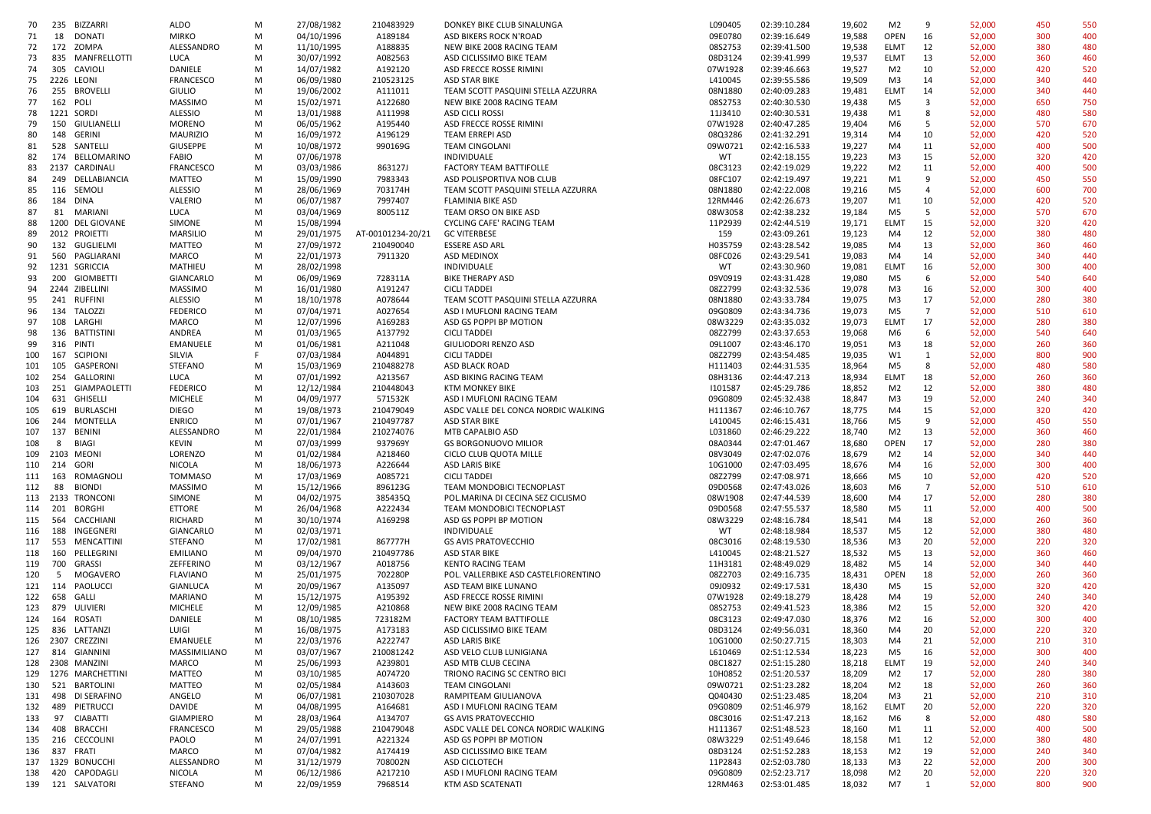| 70  | 235 | BIZZARRI          | <b>ALDO</b>      | M | 27/08/1982 | 210483929         | DONKEY BIKE CLUB SINALUNGA           | L090405 | 02:39:10.284 | 19,602 | M <sub>2</sub> | 9              | 52,000 | 450 | 550 |
|-----|-----|-------------------|------------------|---|------------|-------------------|--------------------------------------|---------|--------------|--------|----------------|----------------|--------|-----|-----|
| 71  | 18  | <b>DONATI</b>     | <b>MIRKO</b>     | M | 04/10/1996 | A189184           | ASD BIKERS ROCK N'ROAD               | 09E0780 | 02:39:16.649 | 19,588 | OPEN           | 16             | 52,000 | 300 | 400 |
| 72  |     | 172 ZOMPA         | ALESSANDRO       | M | 11/10/1995 | A188835           | NEW BIKE 2008 RACING TEAM            | 08S2753 | 02:39:41.500 | 19,538 | <b>ELMT</b>    | 12             | 52,000 | 380 | 480 |
|     |     |                   |                  |   |            |                   |                                      |         | 02:39:41.999 |        |                |                |        |     |     |
| 73  |     | 835 MANFRELLOTTI  | LUCA             | M | 30/07/1992 | A082563           | ASD CICLISSIMO BIKE TEAM             | 08D3124 |              | 19,537 | <b>ELMT</b>    | 13             | 52,000 | 360 | 460 |
| 74  |     | 305 CAVIOLI       | DANIELE          | м | 14/07/1982 | A192120           | ASD FRECCE ROSSE RIMINI              | 07W1928 | 02:39:46.663 | 19,527 | M <sub>2</sub> | 10             | 52,000 | 420 | 520 |
| 75  |     | 2226 LEONI        | FRANCESCO        | M | 06/09/1980 | 210523125         | <b>ASD STAR BIKE</b>                 | L410045 | 02:39:55.586 | 19,509 | M3             | 14             | 52,000 | 340 | 440 |
| 76  |     | 255 BROVELLI      | <b>GIULIO</b>    | M | 19/06/2002 | A111011           | TEAM SCOTT PASQUINI STELLA AZZURRA   | 08N1880 | 02:40:09.283 | 19,481 | <b>ELMT</b>    | 14             | 52,000 | 340 | 440 |
| 77  |     | 162 POLI          | <b>MASSIMO</b>   | M | 15/02/1971 | A122680           | NEW BIKE 2008 RACING TEAM            | 08S2753 | 02:40:30.530 | 19,438 | M <sub>5</sub> | 3              | 52,000 | 650 | 750 |
| 78  |     | 1221 SORDI        | <b>ALESSIO</b>   | M | 13/01/1988 | A111998           | ASD CICLI ROSSI                      | 11J3410 | 02:40:30.531 | 19,438 | M1             | 8              | 52,000 | 480 | 580 |
| 79  | 150 | GIULIANELLI       | <b>MORENO</b>    | M | 06/05/1962 | A195440           | ASD FRECCE ROSSE RIMINI              | 07W1928 | 02:40:47.285 | 19,404 | M6             | 5              | 52,000 | 570 | 670 |
| 80  |     | 148 GERINI        | <b>MAURIZIO</b>  | M | 16/09/1972 | A196129           | TEAM ERREPI ASD                      | 08Q3286 | 02:41:32.291 | 19,314 | M4             | 10             | 52,000 | 420 | 520 |
| 81  | 528 | SANTELLI          | GIUSEPPE         | M | 10/08/1972 | 990169G           | <b>TEAM CINGOLANI</b>                | 09W0721 | 02:42:16.533 | 19,227 | M4             | 11             | 52,000 | 400 | 500 |
|     |     |                   |                  |   |            |                   |                                      |         |              |        |                |                |        |     |     |
| 82  |     | 174 BELLOMARINO   | <b>FABIO</b>     | M | 07/06/1978 |                   | INDIVIDUALE                          | WT      | 02:42:18.155 | 19,223 | M <sub>3</sub> | 15             | 52,000 | 320 | 420 |
| 83  |     | 2137 CARDINALI    | <b>FRANCESCO</b> | M | 03/03/1986 | 863127J           | <b>FACTORY TEAM BATTIFOLLE</b>       | 08C3123 | 02:42:19.029 | 19,222 | M <sub>2</sub> | 11             | 52,000 | 400 | 500 |
| 84  | 249 | DELLABIANCIA      | MATTEO           | M | 15/09/1990 | 7983343           | ASD POLISPORTIVA NOB CLUB            | 08FC107 | 02:42:19.497 | 19,221 | M1             | 9              | 52,000 | 450 | 550 |
| 85  |     | 116 SEMOLI        | <b>ALESSIO</b>   | M | 28/06/1969 | 703174H           | TEAM SCOTT PASQUINI STELLA AZZURRA   | 08N1880 | 02:42:22.008 | 19,216 | M <sub>5</sub> | $\overline{4}$ | 52,000 | 600 | 700 |
| 86  |     | 184 DINA          | VALERIO          | M | 06/07/1987 | 7997407           | FLAMINIA BIKE ASD                    | 12RM446 | 02:42:26.673 | 19,207 | M1             | 10             | 52,000 | 420 | 520 |
| 87  |     | 81 MARIANI        | LUCA             | M | 03/04/1969 | 800511Z           | TEAM ORSO ON BIKE ASD                | 08W3058 | 02:42:38.232 | 19,184 | M <sub>5</sub> | 5              | 52,000 | 570 | 670 |
| 88  |     | 1200 DEL GIOVANE  | SIMONE           | M | 15/08/1994 |                   | CYCLING CAFE' RACING TEAM            | 11P2939 | 02:42:44.519 | 19,171 | ELMT           | 15             | 52,000 | 320 | 420 |
|     |     |                   |                  |   |            |                   |                                      |         |              |        |                |                |        |     |     |
| 89  |     | 2012 PROIETTI     | MARSILIO         | M | 29/01/1975 | AT-00101234-20/21 | <b>GC VITERBESE</b>                  | 159     | 02:43:09.261 | 19,123 | M4             | 12             | 52,000 | 380 | 480 |
| 90  |     | 132 GUGLIELMI     | <b>MATTEO</b>    | M | 27/09/1972 | 210490040         | <b>ESSERE ASD ARL</b>                | H035759 | 02:43:28.542 | 19,085 | M4             | 13             | 52,000 | 360 | 460 |
| 91  |     | 560 PAGLIARANI    | MARCO            | M | 22/01/1973 | 7911320           | ASD MEDINOX                          | 08FC026 | 02:43:29.541 | 19,083 | M4             | 14             | 52,000 | 340 | 440 |
| 92  |     | 1231 SGRICCIA     | MATHIEU          | M | 28/02/1998 |                   | INDIVIDUALE                          | WT      | 02:43:30.960 | 19,081 | <b>ELMT</b>    | 16             | 52,000 | 300 | 400 |
| 93  | 200 | GIOMBETTI         | GIANCARLO        | M | 06/09/1969 | 728311A           | <b>BIKE THERAPY ASD</b>              | 09V0919 | 02:43:31.428 | 19,080 | M <sub>5</sub> | 6              | 52,000 | 540 | 640 |
| 94  |     | 2244 ZIBELLINI    | <b>MASSIMO</b>   | M | 16/01/1980 | A191247           | <b>CICLI TADDEI</b>                  | 08Z2799 | 02:43:32.536 | 19,078 | M <sub>3</sub> | 16             | 52,000 | 300 | 400 |
| 95  |     | 241 RUFFINI       | ALESSIO          | M | 18/10/1978 | A078644           | TEAM SCOTT PASQUINI STELLA AZZURRA   | 08N1880 | 02:43:33.784 | 19,075 | M <sub>3</sub> | 17             | 52,000 | 280 | 380 |
|     |     |                   |                  |   |            |                   |                                      |         |              |        |                |                |        |     |     |
| 96  |     | 134 TALOZZI       | <b>FEDERICO</b>  | M | 07/04/1971 | A027654           | ASD I MUFLONI RACING TEAM            | 09G0809 | 02:43:34.736 | 19,073 | M <sub>5</sub> | $\overline{7}$ | 52,000 | 510 | 610 |
| 97  |     | 108 LARGHI        | MARCO            | M | 12/07/1996 | A169283           | ASD GS POPPI BP MOTION               | 08W3229 | 02:43:35.032 | 19,073 | <b>ELMT</b>    | 17             | 52,000 | 280 | 380 |
| 98  |     | 136 BATTISTINI    | ANDREA           | M | 01/03/1965 | A137792           | <b>CICLI TADDEI</b>                  | 08Z2799 | 02:43:37.653 | 19,068 | M6             | 6              | 52,000 | 540 | 640 |
| 99  |     | 316 PINTI         | EMANUELE         | M | 01/06/1981 | A211048           | GIULIODORI RENZO ASD                 | 09L1007 | 02:43:46.170 | 19,051 | M3             | 18             | 52,000 | 260 | 360 |
| 100 | 167 | <b>SCIPIONI</b>   | SILVIA           | F | 07/03/1984 | A044891           | <b>CICLI TADDEI</b>                  | 08Z2799 | 02:43:54.485 | 19,035 | W1             | 1              | 52,000 | 800 | 900 |
| 101 | 105 | GASPERONI         | <b>STEFANO</b>   | M | 15/03/1969 | 210488278         | <b>ASD BLACK ROAD</b>                | H111403 | 02:44:31.535 | 18,964 | M <sub>5</sub> | 8              | 52,000 | 480 | 580 |
| 102 | 254 | GALLORINI         | LUCA             | M | 07/01/1992 | A213567           | ASD BIKING RACING TEAM               | 08H3136 | 02:44:47.213 | 18,934 | ELMT           | 18             | 52,000 | 260 | 360 |
|     |     |                   |                  |   |            |                   |                                      |         |              |        |                |                |        |     |     |
| 103 | 251 | GIAMPAOLETTI      | <b>FEDERICO</b>  | M | 12/12/1984 | 210448043         | <b>KTM MONKEY BIKE</b>               | 1101587 | 02:45:29.786 | 18,852 | M <sub>2</sub> | 12             | 52,000 | 380 | 480 |
| 104 | 631 | GHISELLI          | <b>MICHELE</b>   | M | 04/09/1977 | 571532K           | ASD I MUFLONI RACING TEAM            | 09G0809 | 02:45:32.438 | 18,847 | M3             | 19             | 52,000 | 240 | 340 |
| 105 | 619 | BURLASCHI         | <b>DIEGO</b>     | M | 19/08/1973 | 210479049         | ASDC VALLE DEL CONCA NORDIC WALKING  | H111367 | 02:46:10.767 | 18,775 | M4             | 15             | 52,000 | 320 | 420 |
| 106 |     | 244 MONTELLA      | <b>ENRICO</b>    | M | 07/01/1967 | 210497787         | <b>ASD STAR BIKE</b>                 | L410045 | 02:46:15.431 | 18,766 | M <sub>5</sub> | 9              | 52,000 | 450 | 550 |
| 107 | 137 | <b>BENINI</b>     | ALESSANDRO       | M | 22/01/1984 | 210274076         | MTB CAPALBIO ASD                     | L031860 | 02:46:29.222 | 18,740 | M <sub>2</sub> | 13             | 52,000 | 360 | 460 |
| 108 | 8   | BIAGI             | KEVIN            | M | 07/03/1999 | 937969Y           | <b>GS BORGONUOVO MILIOR</b>          | 08A0344 | 02:47:01.467 | 18,680 | OPEN           | 17             | 52,000 | 280 | 380 |
| 109 |     | 2103 MEONI        | LORENZO          | M | 01/02/1984 | A218460           | CICLO CLUB QUOTA MILLE               | 08V3049 | 02:47:02.076 | 18,679 | M <sub>2</sub> | 14             | 52,000 | 340 | 440 |
|     |     |                   |                  |   |            |                   |                                      |         |              |        |                |                |        |     |     |
| 110 | 214 | GORI              | NICOLA           | M | 18/06/1973 | A226644           | ASD LARIS BIKE                       | 10G1000 | 02:47:03.495 | 18,676 | M4             | 16             | 52,000 | 300 | 400 |
| 111 | 163 | ROMAGNOLI         | <b>TOMMASO</b>   | M | 17/03/1969 | A085721           | <b>CICLI TADDEI</b>                  | 08Z2799 | 02:47:08.971 | 18,666 | M5             | 10             | 52,000 | 420 | 520 |
| 112 | 88  | <b>BIONDI</b>     | <b>MASSIMO</b>   | M | 15/12/1966 | 896123G           | TEAM MONDOBICI TECNOPLAST            | 09D0568 | 02:47:43.026 | 18,603 | M6             | $\overline{7}$ | 52,000 | 510 | 610 |
|     |     | 113 2133 TRONCONI | SIMONE           | M | 04/02/1975 | 385435Q           | POL.MARINA DI CECINA SEZ CICLISMO    | 08W1908 | 02:47:44.539 | 18,600 | M4             | 17             | 52,000 | 280 | 380 |
| 114 | 201 | BORGHI            | ETTORE           | M | 26/04/1968 | A222434           | TEAM MONDOBICI TECNOPLAST            | 09D0568 | 02:47:55.537 | 18,580 | M <sub>5</sub> | 11             | 52,000 | 400 | 500 |
| 115 |     | 564 CACCHIANI     | RICHARD          | M | 30/10/1974 | A169298           | ASD GS POPPI BP MOTION               | 08W3229 | 02:48:16.784 | 18,541 | M4             | 18             | 52,000 | 260 | 360 |
| 116 | 188 | INGEGNERI         | GIANCARLO        | M | 02/03/1971 |                   | INDIVIDUALE                          | WT      | 02:48:18.984 | 18,537 | M <sub>5</sub> | 12             | 52,000 | 380 | 480 |
| 117 | 553 | MENCATTINI        | STEFANO          | M | 17/02/1981 | 867777H           | <b>GS AVIS PRATOVECCHIO</b>          | 08C3016 | 02:48:19.530 | 18,536 | M <sub>3</sub> | 20             | 52,000 | 220 | 320 |
| 118 |     | 160 PELLEGRINI    | <b>EMILIANO</b>  | M | 09/04/1970 | 210497786         | ASD STAR BIKE                        | L410045 | 02:48:21.527 | 18,532 | M <sub>5</sub> | 13             | 52,000 | 360 | 460 |
|     |     |                   |                  |   |            |                   |                                      |         |              |        |                |                |        |     |     |
| 119 | 700 | <b>GRASSI</b>     | ZEFFERINO        | M | 03/12/1967 | A018756           | <b>KENTO RACING TEAM</b>             | 11H3181 | 02:48:49.029 | 18,482 | M <sub>5</sub> | 14             | 52,000 | 340 | 440 |
| 120 | 5   | MOGAVERO          | <b>FLAVIANO</b>  | M | 25/01/1975 | 702280P           | POL. VALLERBIKE ASD CASTELFIORENTINO | 08Z2703 | 02:49:16.735 | 18,431 | OPEN           | 18             | 52,000 | 260 | 360 |
|     |     | 121 114 PAOLUCCI  | GIANLUCA         | M | 20/09/1967 | A135097           | ASD TEAM BIKE LUNANO                 | 09J0932 | 02:49:17.531 | 18,430 | M5             | 15             | 52,000 | 320 | 420 |
| 122 | 658 | GALLI             | MARIANO          | M | 15/12/1975 | A195392           | ASD FRECCE ROSSE RIMINI              | 07W1928 | 02:49:18.279 | 18,428 | M4             | 19             | 52,000 | 240 | 340 |
| 123 | 879 | ULIVIERI          | <b>MICHELE</b>   | M | 12/09/1985 | A210868           | NEW BIKE 2008 RACING TEAM            | 08S2753 | 02:49:41.523 | 18,386 | M <sub>2</sub> | 15             | 52,000 | 320 | 420 |
|     |     | 124  164  ROSATI  | DANIELE          | M | 08/10/1985 | 723182M           | <b>FACTORY TEAM BATTIFOLLE</b>       | 08C3123 | 02:49:47.030 | 18,376 | M <sub>2</sub> | 16             | 52,000 | 300 | 400 |
|     |     | 125 836 LATTANZI  | LUIGI            | M | 16/08/1975 | A173183           | ASD CICLISSIMO BIKE TEAM             | 08D3124 | 02:49:56.031 | 18,360 | M4             | 20             | 52,000 | 220 | 320 |
|     |     | 126 2307 CREZZINI |                  | M | 22/03/1976 | A222747           | ASD LARIS BIKE                       | 10G1000 | 02:50:27.715 | 18,303 | M4             | 21             | 52,000 | 210 | 310 |
|     |     |                   | EMANUELE         |   |            |                   |                                      |         |              |        |                |                |        |     |     |
| 127 |     | 814 GIANNINI      | MASSIMILIANO     | M | 03/07/1967 | 210081242         | ASD VELO CLUB LUNIGIANA              | L610469 | 02:51:12.534 | 18,223 | M5             | 16             | 52,000 | 300 | 400 |
| 128 |     | 2308 MANZINI      | MARCO            | M | 25/06/1993 | A239801           | ASD MTB CLUB CECINA                  | 08C1827 | 02:51:15.280 | 18,218 | <b>ELMT</b>    | 19             | 52,000 | 240 | 340 |
| 129 |     | 1276 MARCHETTINI  | MATTEO           | M | 03/10/1985 | A074720           | TRIONO RACING SC CENTRO BICI         | 10H0852 | 02:51:20.537 | 18,209 | M <sub>2</sub> | 17             | 52,000 | 280 | 380 |
| 130 |     | 521 BARTOLINI     | MATTEO           | M | 02/05/1984 | A143603           | <b>TEAM CINGOLANI</b>                | 09W0721 | 02:51:23.282 | 18,204 | M <sub>2</sub> | 18             | 52,000 | 260 | 360 |
| 131 |     | 498 DI SERAFINO   | ANGELO           | M | 06/07/1981 | 210307028         | RAMPITEAM GIULIANOVA                 | Q040430 | 02:51:23.485 | 18,204 | M3             | 21             | 52,000 | 210 | 310 |
| 132 | 489 | PIETRUCCI         | DAVIDE           | M | 04/08/1995 | A164681           | ASD I MUFLONI RACING TEAM            | 09G0809 | 02:51:46.979 | 18,162 | ELMT           | 20             | 52,000 | 220 | 320 |
| 133 |     | 97 CIABATTI       | GIAMPIERO        | M | 28/03/1964 | A134707           | <b>GS AVIS PRATOVECCHIO</b>          | 08C3016 | 02:51:47.213 | 18,162 | M6             | 8              | 52,000 | 480 | 580 |
|     |     | 408 BRACCHI       | FRANCESCO        | M | 29/05/1988 | 210479048         | ASDC VALLE DEL CONCA NORDIC WALKING  | H111367 |              |        | M1             |                | 52,000 | 400 | 500 |
| 134 |     |                   |                  |   |            |                   |                                      |         | 02:51:48.523 | 18,160 |                | 11             |        |     |     |
| 135 |     | 216 CECCOLINI     | PAOLO            | М | 24/07/1991 | A221324           | ASD GS POPPI BP MOTION               | 08W3229 | 02:51:49.646 | 18,158 | M1             | 12             | 52,000 | 380 | 480 |
| 136 |     | 837 FRATI         | MARCO            | M | 07/04/1982 | A174419           | ASD CICLISSIMO BIKE TEAM             | 08D3124 | 02:51:52.283 | 18,153 | M <sub>2</sub> | 19             | 52,000 | 240 | 340 |
|     |     | 137 1329 BONUCCHI | ALESSANDRO       | м | 31/12/1979 | 708002N           | ASD CICLOTECH                        | 11P2843 | 02:52:03.780 | 18,133 | M3             | 22             | 52,000 | 200 | 300 |
| 138 |     | 420 CAPODAGLI     | NICOLA           | M | 06/12/1986 | A217210           | ASD I MUFLONI RACING TEAM            | 09G0809 | 02:52:23.717 | 18,098 | M <sub>2</sub> | 20             | 52,000 | 220 | 320 |
|     |     | 139 121 SALVATORI | <b>STEFANO</b>   | M | 22/09/1959 | 7968514           | KTM ASD SCATENATI                    | 12RM463 | 02:53:01.485 | 18,032 | M7             | $\mathbf{1}$   | 52,000 | 800 | 900 |
|     |     |                   |                  |   |            |                   |                                      |         |              |        |                |                |        |     |     |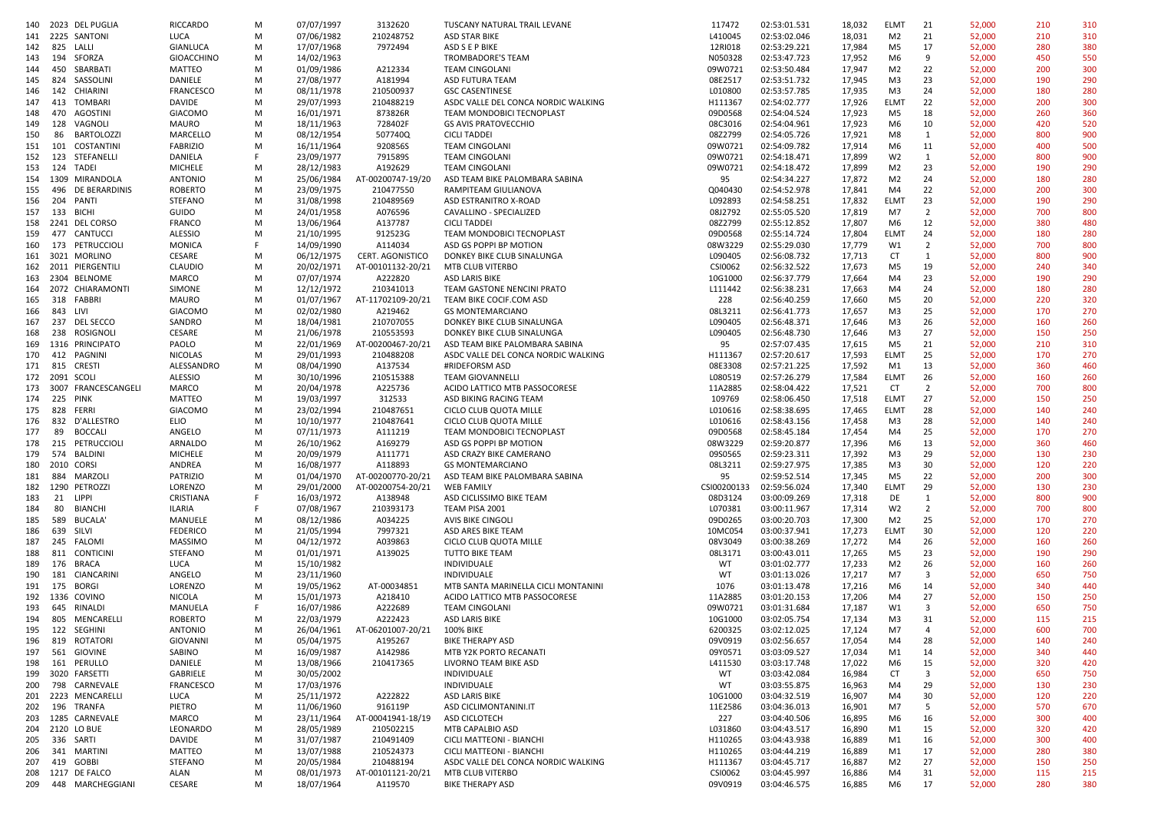| 140 |                | 2023 DEL PUGLIA      | <b>RICCARDO</b>   | М  | 07/07/1997 | 3132620           | TUSCANY NATURAL TRAIL LEVANE        | 117472      | 02:53:01.531 | 18,032 | <b>ELMT</b>    | 21             | 52,000 | 210 | 310 |
|-----|----------------|----------------------|-------------------|----|------------|-------------------|-------------------------------------|-------------|--------------|--------|----------------|----------------|--------|-----|-----|
|     |                | 141 2225 SANTONI     | LUCA              | М  | 07/06/1982 | 210248752         | <b>ASD STAR BIKE</b>                | L410045     | 02:53:02.046 | 18,031 | M2             | 21             | 52,000 | 210 | 310 |
| 142 |                | 825 LALLI            | GIANLUCA          | М  | 17/07/1968 | 7972494           | ASD S E P BIKE                      | 12RI018     | 02:53:29.221 | 17,984 | M5             | 17             | 52,000 | 280 | 380 |
| 143 | 194            | SFORZA               | <b>GIOACCHINO</b> | М  | 14/02/1963 |                   | TROMBADORE'S TEAM                   | N050328     | 02:53:47.723 | 17,952 | M6             | 9              | 52,000 | 450 | 550 |
| 144 | 450            | SBARBATI             | MATTEO            | М  | 01/09/1986 | A212334           | <b>TEAM CINGOLANI</b>               | 09W0721     | 02:53:50.484 | 17,947 | M <sub>2</sub> | 22             | 52,000 | 200 | 300 |
| 145 | 824            | SASSOLINI            | DANIELE           | М  | 27/08/1977 | A181994           | ASD FUTURA TEAM                     | 08E2517     | 02:53:51.732 | 17,945 | M <sub>3</sub> | 23             | 52,000 | 190 | 290 |
| 146 | 142            | CHIARINI             | <b>FRANCESCO</b>  | м  | 08/11/1978 | 210500937         | <b>GSC CASENTINESE</b>              | L010800     | 02:53:57.785 | 17,935 | M3             | 24             | 52,000 | 180 | 280 |
| 147 | 413            | TOMBARI              | <b>DAVIDE</b>     | M  | 29/07/1993 | 210488219         | ASDC VALLE DEL CONCA NORDIC WALKING | H111367     | 02:54:02.777 | 17,926 | <b>ELMT</b>    | 22             | 52,000 | 200 | 300 |
| 148 | 470            | AGOSTINI             | <b>GIACOMO</b>    | М  | 16/01/1971 | 873826R           | TEAM MONDOBICI TECNOPLAST           | 09D0568     | 02:54:04.524 | 17,923 | M5             | 18             | 52,000 | 260 | 360 |
| 149 | 128            | VAGNOLI              | MAURO             | м  | 18/11/1963 | 728402F           | <b>GS AVIS PRATOVECCHIO</b>         | 08C3016     | 02:54:04.961 |        | M6             | 10             | 52,000 | 420 | 520 |
|     |                |                      |                   |    |            |                   |                                     |             |              | 17,923 |                |                |        |     |     |
| 150 | 86             | <b>BARTOLOZZI</b>    | MARCELLO          | M  | 08/12/1954 | 507740Q           | <b>CICLI TADDEI</b>                 | 08Z2799     | 02:54:05.726 | 17,921 | M8             | 1              | 52,000 | 800 | 900 |
| 151 |                | 101 COSTANTINI       | <b>FABRIZIO</b>   | М  | 16/11/1964 | 920856S           | <b>TEAM CINGOLANI</b>               | 09W0721     | 02:54:09.782 | 17,914 | M6             | 11             | 52,000 | 400 | 500 |
| 152 | 123            | STEFANELLI           | DANIELA           | F. | 23/09/1977 | 791589S           | <b>TEAM CINGOLANI</b>               | 09W0721     | 02:54:18.471 | 17,899 | W <sub>2</sub> | 1              | 52,000 | 800 | 900 |
| 153 |                | 124 TADEI            | <b>MICHELE</b>    | М  | 28/12/1983 | A192629           | <b>TEAM CINGOLANI</b>               | 09W0721     | 02:54:18.472 | 17,899 | M <sub>2</sub> | 23             | 52,000 | 190 | 290 |
|     |                | 154 1309 MIRANDOLA   | <b>ANTONIO</b>    | М  | 25/06/1984 | AT-00200747-19/20 | ASD TEAM BIKE PALOMBARA SABINA      | 95          | 02:54:34.227 | 17,872 | M <sub>2</sub> | 24             | 52,000 | 180 | 280 |
| 155 | 496            | DE BERARDINIS        | <b>ROBERTO</b>    | М  | 23/09/1975 | 210477550         | RAMPITEAM GIULIANOVA                | Q040430     | 02:54:52.978 | 17,841 | M4             | 22             | 52,000 | 200 | 300 |
| 156 | 204            | PANTI                | <b>STEFANO</b>    | М  | 31/08/1998 | 210489569         | ASD ESTRANITRO X-ROAD               | L092893     | 02:54:58.251 | 17,832 | <b>ELMT</b>    | 23             | 52,000 | 190 | 290 |
| 157 | 133            | <b>BICHI</b>         | GUIDO             | M  | 24/01/1958 | A076596           | CAVALLINO - SPECIALIZED             | 08J2792     | 02:55:05.520 | 17,819 | M7             | $\overline{2}$ | 52,000 | 700 | 800 |
|     |                | 158 2241 DEL CORSO   | <b>FRANCO</b>     | М  | 13/06/1964 | A137787           | <b>CICLI TADDEI</b>                 | 08Z2799     | 02:55:12.852 | 17,807 | M6             | 12             | 52,000 | 380 | 480 |
| 159 |                | 477 CANTUCCI         | <b>ALESSIO</b>    | М  | 21/10/1995 | 912523G           | TEAM MONDOBICI TECNOPLAST           | 09D0568     | 02:55:14.724 | 17,804 | <b>ELMT</b>    | 24             | 52,000 | 180 | 280 |
| 160 |                | 173 PETRUCCIOLI      | <b>MONICA</b>     | F. | 14/09/1990 | A114034           | ASD GS POPPI BP MOTION              | 08W3229     | 02:55:29.030 | 17,779 | W1             | $\overline{2}$ | 52,000 | 700 | 800 |
|     |                | 161 3021 MORLINO     | CESARE            | М  | 06/12/1975 | CERT. AGONISTICO  | DONKEY BIKE CLUB SINALUNGA          | L090405     | 02:56:08.732 | 17,713 | CT             | 1              | 52,000 | 800 | 900 |
| 162 |                | 2011 PIERGENTILI     | <b>CLAUDIO</b>    | М  | 20/02/1971 | AT-00101132-20/21 | MTB CLUB VITERBO                    | CSI0062     | 02:56:32.522 | 17,673 | M5             | 19             | 52,000 | 240 | 340 |
| 163 |                | 2304 BELNOME         | MARCO             | м  | 07/07/1974 | A222820           | ASD LARIS BIKE                      | 10G1000     | 02:56:37.779 | 17,664 | M4             | 23             | 52,000 | 190 | 290 |
|     |                |                      |                   |    |            | 210341013         |                                     |             | 02:56:38.231 |        | M4             | 24             |        | 180 |     |
| 164 |                | 2072 CHIARAMONTI     | SIMONE            | М  | 12/12/1972 |                   | TEAM GASTONE NENCINI PRATO          | L111442     |              | 17,663 |                |                | 52,000 |     | 280 |
| 165 |                | 318 FABBRI           | MAURO             | М  | 01/07/1967 | AT-11702109-20/21 | TEAM BIKE COCIF.COM ASD             | 228         | 02:56:40.259 | 17,660 | M5             | 20             | 52,000 | 220 | 320 |
| 166 | 843            | LIVI                 | <b>GIACOMO</b>    | М  | 02/02/1980 | A219462           | <b>GS MONTEMARCIANO</b>             | 08L3211     | 02:56:41.773 | 17,657 | M <sub>3</sub> | 25             | 52,000 | 170 | 270 |
| 167 |                | 237 DEL SECCO        | SANDRO            | М  | 18/04/1981 | 210707055         | DONKEY BIKE CLUB SINALUNGA          | L090405     | 02:56:48.371 | 17,646 | M <sub>3</sub> | 26             | 52,000 | 160 | 260 |
| 168 |                | 238 ROSIGNOLI        | CESARE            | М  | 21/06/1978 | 210553593         | DONKEY BIKE CLUB SINALUNGA          | L090405     | 02:56:48.730 | 17,646 | M3             | 27             | 52,000 | 150 | 250 |
| 169 |                | 1316 PRINCIPATO      | PAOLO             | М  | 22/01/1969 | AT-00200467-20/21 | ASD TEAM BIKE PALOMBARA SABINA      | 95          | 02:57:07.435 | 17,615 | M5             | 21             | 52,000 | 210 | 310 |
| 170 |                | 412 PAGNINI          | <b>NICOLAS</b>    | М  | 29/01/1993 | 210488208         | ASDC VALLE DEL CONCA NORDIC WALKING | H111367     | 02:57:20.617 | 17,593 | <b>ELMT</b>    | 25             | 52,000 | 170 | 270 |
| 171 |                | 815 CRESTI           | ALESSANDRO        | М  | 08/04/1990 | A137534           | #RIDEFORSM ASD                      | 08E3308     | 02:57:21.225 | 17,592 | M1             | 13             | 52,000 | 360 | 460 |
|     | 172 2091 SCOLI |                      | <b>ALESSIO</b>    | М  | 30/10/1996 | 210515388         | <b>TEAM GIOVANNELLI</b>             | L080519     | 02:57:26.279 | 17,584 | <b>ELMT</b>    | 26             | 52,000 | 160 | 260 |
| 173 |                | 3007 FRANCESCANGELI  | MARCO             | М  | 20/04/1978 | A225736           | ACIDO LATTICO MTB PASSOCORESE       | 11A2885     | 02:58:04.422 | 17,521 | CT             | $\overline{2}$ | 52,000 | 700 | 800 |
| 174 | 225 PINK       |                      | MATTEO            | М  | 19/03/1997 | 312533            | ASD BIKING RACING TEAM              | 109769      | 02:58:06.450 | 17,518 | <b>ELMT</b>    | 27             | 52,000 | 150 | 250 |
| 175 | 828            | FERRI                | <b>GIACOMO</b>    | М  | 23/02/1994 | 210487651         | CICLO CLUB QUOTA MILLE              | L010616     | 02:58:38.695 | 17,465 | <b>ELMT</b>    | 28             | 52,000 | 140 | 240 |
| 176 | 832            | D'ALLESTRO           | <b>ELIO</b>       | М  | 10/10/1977 | 210487641         | CICLO CLUB QUOTA MILLE              | L010616     | 02:58:43.156 | 17,458 | M3             | 28             | 52,000 | 140 | 240 |
| 177 | 89             | <b>BOCCALI</b>       | ANGELO            | M  | 07/11/1973 | A111219           | TEAM MONDOBICI TECNOPLAST           | 09D0568     | 02:58:45.184 | 17,454 | M4             | 25             | 52,000 | 170 | 270 |
| 178 | 215            | PETRUCCIOLI          | ARNALDO           |    | 26/10/1962 | A169279           | ASD GS POPPI BP MOTION              | 08W3229     | 02:59:20.877 | 17,396 | M6             | 13             | 52,000 | 360 | 460 |
|     |                |                      |                   | М  |            |                   |                                     |             |              |        |                |                |        |     |     |
| 179 | 574            | BALDINI              | <b>MICHELE</b>    | М  | 20/09/1979 | A111771           | ASD CRAZY BIKE CAMERANO             | 09S0565     | 02:59:23.311 | 17,392 | M <sub>3</sub> | 29             | 52,000 | 130 | 230 |
| 180 |                | 2010 CORSI           | ANDREA            | М  | 16/08/1977 | A118893           | <b>GS MONTEMARCIANO</b>             | 08L3211     | 02:59:27.975 | 17,385 | M3             | 30             | 52,000 | 120 | 220 |
| 181 | 884            | MARZOLI              | PATRIZIO          | М  | 01/04/1970 | AT-00200770-20/21 | ASD TEAM BIKE PALOMBARA SABINA      | 95          | 02:59:52.514 | 17,345 | M5             | 22             | 52,000 | 200 | 300 |
| 182 |                | 1290 PETROZZI        | LORENZO           | М  | 29/01/2000 | AT-00200754-20/21 | <b>WEB FAMILY</b>                   | CSI00200133 | 02:59:56.024 | 17,340 | <b>ELMT</b>    | 29             | 52,000 | 130 | 230 |
| 183 |                | 21 LIPPI             | CRISTIANA         | F. | 16/03/1972 | A138948           | ASD CICLISSIMO BIKE TEAM            | 08D3124     | 03:00:09.269 | 17,318 | DE             | 1              | 52,000 | 800 | 900 |
| 184 | 80             | <b>BIANCHI</b>       | ILARIA            | F  | 07/08/1967 | 210393173         | TEAM PISA 2001                      | L070381     | 03:00:11.967 | 17,314 | W <sub>2</sub> | $\overline{2}$ | 52,000 | 700 | 800 |
| 185 | 589            | BUCALA'              | MANUELE           | М  | 08/12/1986 | A034225           | <b>AVIS BIKE CINGOLI</b>            | 09D0265     | 03:00:20.703 | 17,300 | M2             | 25             | 52,000 | 170 | 270 |
| 186 | 639 SILVI      |                      | <b>FEDERICO</b>   | М  | 21/05/1994 | 7997321           | ASD ARES BIKE TEAM                  | 10MC054     | 03:00:37.941 | 17,273 | <b>ELMT</b>    | 30             | 52,000 | 120 | 220 |
| 187 |                | 245 FALOMI           | <b>MASSIMO</b>    | М  | 04/12/1972 | A039863           | CICLO CLUB QUOTA MILLE              | 08V3049     | 03:00:38.269 | 17,272 | M4             | 26             | 52,000 | 160 | 260 |
| 188 |                | 811 CONTICINI        | <b>STEFANO</b>    | М  | 01/01/1971 | A139025           | TUTTO BIKE TEAM                     | 08L3171     | 03:00:43.011 | 17,265 | M5             | 23             | 52,000 | 190 | 290 |
| 189 |                | 176 BRACA            | LUCA              | М  | 15/10/1982 |                   | INDIVIDUALE                         | WT          | 03:01:02.777 | 17,233 | M <sub>2</sub> | 26             | 52,000 | 160 | 260 |
| 190 | 181            | CIANCARINI           | ANGELO            | М  | 23/11/1960 |                   | <b>INDIVIDUALE</b>                  | WT          | 03:01:13.026 | 17,217 | M7             | 3              | 52,000 | 650 | 750 |
|     |                | 191  175  BORGI      | LORENZO           | М  | 19/05/1962 | AT-00034851       | MTB SANTA MARINELLA CICLI MONTANINI | 1076        | 03:01:13.478 | 17,216 | M6             | 14             | 52,000 | 340 | 440 |
|     |                | 192 1336 COVINO      | NICOLA            | M  | 15/01/1973 | A218410           | ACIDO LATTICO MTB PASSOCORESE       | 11A2885     | 03:01:20.153 | 17,206 | M4             | 27             | 52,000 | 150 | 250 |
| 193 |                | 645 RINALDI          | MANUELA           | F. | 16/07/1986 | A222689           | <b>TEAM CINGOLANI</b>               | 09W0721     | 03:01:31.684 | 17,187 | W1             | $\overline{3}$ | 52,000 | 650 | 750 |
|     |                | 194 805 MENCARELLI   | ROBERTO           | M  | 22/03/1979 | A222423           | ASD LARIS BIKE                      | 10G1000     | 03:02:05.754 | 17,134 | M3             | 31             | 52,000 | 115 | 215 |
|     |                | 195 122 SEGHINI      | <b>ANTONIO</b>    | М  | 26/04/1961 | AT-06201007-20/21 | 100% BIKE                           | 6200325     | 03:02:12.025 | 17,124 | M7             | $\overline{4}$ | 52,000 | 600 | 700 |
|     |                | 819 ROTATORI         | GIOVANNI          | М  |            |                   | <b>BIKE THERAPY ASD</b>             | 09V0919     | 03:02:56.657 |        | M4             | 28             |        | 140 | 240 |
| 196 |                |                      |                   |    | 05/04/1975 | A195267           | MTB Y2K PORTO RECANATI              |             |              | 17,054 |                |                | 52,000 |     |     |
| 197 | 561            | GIOVINE              | SABINO            | M  | 16/09/1987 | A142986           |                                     | 09Y0571     | 03:03:09.527 | 17,034 | M1             | 14             | 52,000 | 340 | 440 |
| 198 |                | 161 PERULLO          | DANIELE           | М  | 13/08/1966 | 210417365         | LIVORNO TEAM BIKE ASD               | L411530     | 03:03:17.748 | 17,022 | M6             | 15             | 52,000 | 320 | 420 |
|     |                | 199 3020 FARSETTI    | GABRIELE          | M  | 30/05/2002 |                   | INDIVIDUALE                         | WT          | 03:03:42.084 | 16,984 | CT             | 3              | 52,000 | 650 | 750 |
| 200 |                | 798 CARNEVALE        | <b>FRANCESCO</b>  | М  | 17/03/1976 |                   | INDIVIDUALE                         | WT          | 03:03:55.875 | 16,963 | M4             | 29             | 52,000 | 130 | 230 |
|     |                | 201 2223 MENCARELLI  | LUCA              | М  | 25/11/1972 | A222822           | ASD LARIS BIKE                      | 10G1000     | 03:04:32.519 | 16,907 | M4             | 30             | 52,000 | 120 | 220 |
| 202 |                | 196 TRANFA           | PIETRO            | М  | 11/06/1960 | 916119P           | ASD CICLIMONTANINI.IT               | 11E2586     | 03:04:36.013 | 16,901 | M7             | 5              | 52,000 | 570 | 670 |
| 203 |                | 1285 CARNEVALE       | MARCO             | M  | 23/11/1964 | AT-00041941-18/19 | ASD CICLOTECH                       | 227         | 03:04:40.506 | 16,895 | M6             | 16             | 52,000 | 300 | 400 |
| 204 |                | 2120 LO BUE          | LEONARDO          | M  | 28/05/1989 | 210502215         | MTB CAPALBIO ASD                    | L031860     | 03:04:43.517 | 16,890 | M1             | 15             | 52,000 | 320 | 420 |
| 205 |                | 336 SARTI            | <b>DAVIDE</b>     | М  | 31/07/1987 | 210491409         | CICLI MATTEONI - BIANCHI            | H110265     | 03:04:43.938 | 16,889 | M1             | 16             | 52,000 | 300 | 400 |
| 206 |                | 341 MARTINI          | MATTEO            | M  | 13/07/1988 | 210524373         | CICLI MATTEONI - BIANCHI            | H110265     | 03:04:44.219 | 16,889 | M1             | 17             | 52,000 | 280 | 380 |
| 207 | 419            | GOBBI                | <b>STEFANO</b>    | M  | 20/05/1984 | 210488194         | ASDC VALLE DEL CONCA NORDIC WALKING | H111367     | 03:04:45.717 | 16,887 | M <sub>2</sub> | 27             | 52,000 | 150 | 250 |
| 208 |                | 1217 DE FALCO        | ALAN              | M  | 08/01/1973 | AT-00101121-20/21 | MTB CLUB VITERBO                    | CSI0062     | 03:04:45.997 | 16,886 | M4             | 31             | 52,000 | 115 | 215 |
|     |                | 209 448 MARCHEGGIANI | CESARE            | M  | 18/07/1964 | A119570           | <b>BIKE THERAPY ASD</b>             | 09V0919     | 03:04:46.575 | 16,885 | M6             | 17             | 52,000 | 280 | 380 |
|     |                |                      |                   |    |            |                   |                                     |             |              |        |                |                |        |     |     |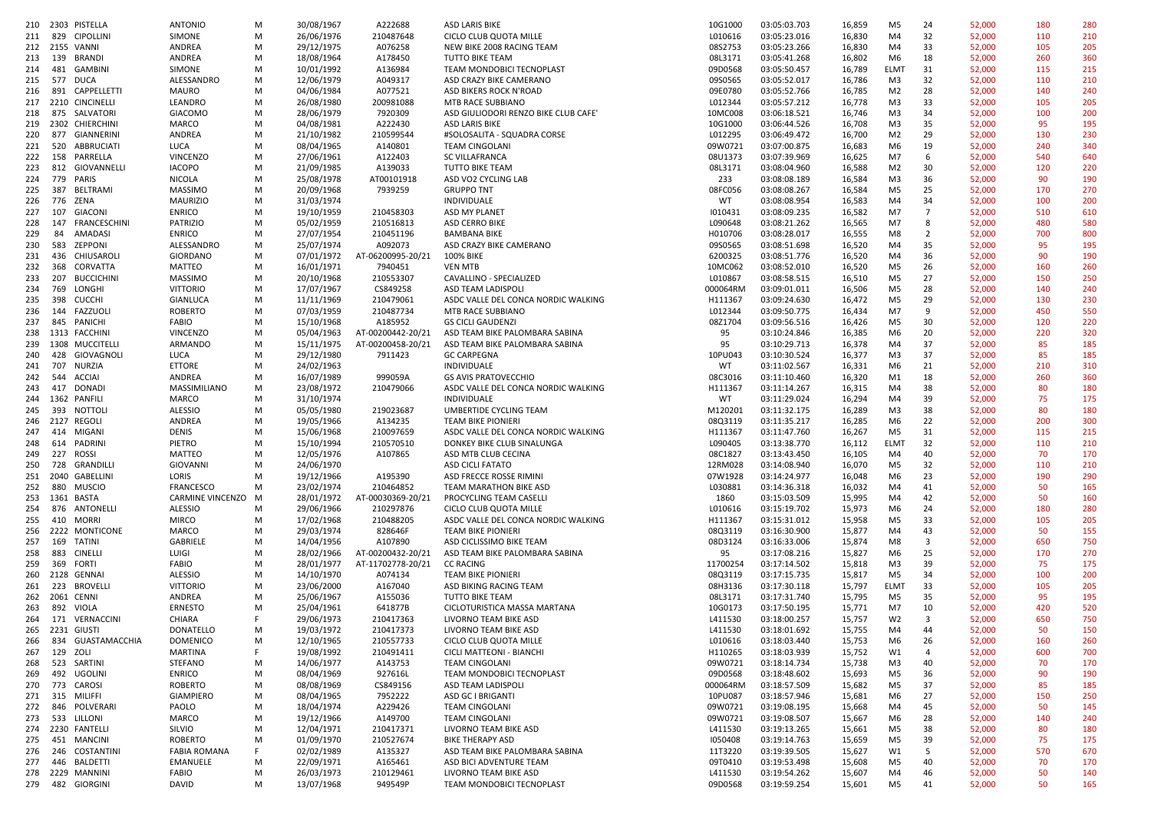|     | 210 2303 PISTELLA        | <b>ANTONIO</b>      | M  | 30/08/1967 | A222688           | ASD LARIS BIKE                       | 10G1000  | 03:05:03.703 | 16,859 | M <sub>5</sub> | 24                      | 52,000 | 180 | 280 |
|-----|--------------------------|---------------------|----|------------|-------------------|--------------------------------------|----------|--------------|--------|----------------|-------------------------|--------|-----|-----|
| 211 | 829 CIPOLLINI            | SIMONE              |    | 26/06/1976 | 210487648         |                                      | L010616  | 03:05:23.016 | 16,830 | M4             | 32                      | 52,000 | 110 | 210 |
|     |                          |                     | M  |            |                   | CICLO CLUB QUOTA MILLE               |          |              |        |                |                         |        |     |     |
|     | 212 2155 VANNI           | ANDREA              | M  | 29/12/1975 | A076258           | NEW BIKE 2008 RACING TEAM            | 08S2753  | 03:05:23.266 | 16,830 | M4             | 33                      | 52,000 | 105 | 205 |
| 213 | 139 BRANDI               | ANDREA              | M  | 18/08/1964 | A178450           | TUTTO BIKE TEAM                      | 08L3171  | 03:05:41.268 | 16,802 | M6             | 18                      | 52,000 | 260 | 360 |
| 214 | 481 GAMBINI              | SIMONE              | M  | 10/01/1992 | A136984           | TEAM MONDOBICI TECNOPLAST            | 09D0568  | 03:05:50.457 | 16,789 | <b>ELMT</b>    | 31                      | 52,000 | 115 | 215 |
| 215 | 577 DUCA                 | ALESSANDRO          | М  | 12/06/1979 | A049317           | ASD CRAZY BIKE CAMERANO              | 09S0565  | 03:05:52.017 | 16,786 | M3             | 32                      | 52,000 | 110 | 210 |
| 216 | 891 CAPPELLETTI          | MAURO               | M  | 04/06/1984 | A077521           | ASD BIKERS ROCK N'ROAD               | 09E0780  | 03:05:52.766 | 16,785 | M <sub>2</sub> | 28                      | 52,000 | 140 | 240 |
|     | 217 2210 CINCINELLI      | LEANDRO             | м  | 26/08/1980 | 200981088         | MTB RACE SUBBIANO                    | L012344  | 03:05:57.212 | 16,778 | M3             | 33                      | 52,000 | 105 | 205 |
|     |                          |                     |    |            |                   |                                      |          |              |        |                | 34                      |        |     |     |
| 218 | 875 SALVATORI            | <b>GIACOMO</b>      | M  | 28/06/1979 | 7920309           | ASD GIULIODORI RENZO BIKE CLUB CAFE' | 10MC008  | 03:06:18.521 | 16,746 | M3             |                         | 52,000 | 100 | 200 |
|     | 219 2302 CHIERCHINI      | MARCO               | M  | 04/08/1981 | A222430           | ASD LARIS BIKE                       | 10G1000  | 03:06:44.526 | 16,708 | M3             | 35                      | 52,000 | 95  | 195 |
| 220 | 877 GIANNERINI           | ANDREA              | м  | 21/10/1982 | 210599544         | #SOLOSALITA - SQUADRA CORSE          | L012295  | 03:06:49.472 | 16,700 | M <sub>2</sub> | 29                      | 52,000 | 130 | 230 |
| 221 | 520 ABBRUCIATI           | LUCA                | М  | 08/04/1965 | A140801           | TEAM CINGOLANI                       | 09W0721  | 03:07:00.875 | 16,683 | M6             | 19                      | 52,000 | 240 | 340 |
| 222 | 158 PARRELLA             | <b>VINCENZO</b>     | М  | 27/06/1961 | A122403           | <b>SC VILLAFRANCA</b>                | 08U1373  | 03:07:39.969 | 16,625 | M7             | - 6                     | 52,000 | 540 | 640 |
| 223 | 812 GIOVANNELLI          | <b>IACOPO</b>       | M  | 21/09/1985 | A139033           | TUTTO BIKE TEAM                      | 08L3171  | 03:08:04.960 | 16,588 | M <sub>2</sub> | 30                      | 52,000 | 120 | 220 |
| 224 | 779 PARIS                | NICOLA              | M  | 25/08/1978 | AT00101918        | ASD VO2 CYCLING LAB                  | 233      | 03:08:08.189 | 16,584 | M3             | 36                      | 52,000 | 90  | 190 |
|     | 387                      | <b>MASSIMO</b>      |    | 20/09/1968 |                   |                                      | 08FC056  | 03:08:08.267 |        | M <sub>5</sub> | 25                      |        | 170 | 270 |
| 225 | BELTRAMI                 |                     | M  |            | 7939259           | <b>GRUPPO TNT</b>                    |          |              | 16,584 |                |                         | 52,000 |     |     |
| 226 | 776 ZENA                 | <b>MAURIZIO</b>     | M  | 31/03/1974 |                   | INDIVIDUALE                          | WT       | 03:08:08.954 | 16,583 | M4             | 34                      | 52,000 | 100 | 200 |
| 227 | 107<br>GIACONI           | <b>ENRICO</b>       | М  | 19/10/1959 | 210458303         | ASD MY PLANET                        | 1010431  | 03:08:09.235 | 16,582 | M7             | $\overline{7}$          | 52,000 | 510 | 610 |
| 228 | 147 FRANCESCHINI         | <b>PATRIZIO</b>     | M  | 05/02/1959 | 210516813         | ASD CERRO BIKE                       | L090648  | 03:08:21.262 | 16,565 | M7             | 8                       | 52,000 | 480 | 580 |
| 229 | 84<br>AMADASI            | <b>ENRICO</b>       | M  | 27/07/1954 | 210451196         | <b>BAMBANA BIKE</b>                  | H010706  | 03:08:28.017 | 16,555 | M8             | $\overline{2}$          | 52,000 | 700 | 800 |
| 230 | 583<br>ZEPPONI           | ALESSANDRO          | М  | 25/07/1974 | A092073           | ASD CRAZY BIKE CAMERANO              | 09S0565  | 03:08:51.698 | 16,520 | M4             | 35                      | 52,000 | 95  | 195 |
| 231 | 436 CHIUSAROLI           | <b>GIORDANO</b>     | M  | 07/01/1972 | AT-06200995-20/21 | 100% BIKE                            | 6200325  | 03:08:51.776 | 16,520 | M4             | 36                      | 52,000 | 90  | 190 |
|     |                          |                     |    |            |                   |                                      |          |              |        |                |                         |        |     |     |
| 232 | 368 CORVATTA             | MATTEO              | M  | 16/01/1971 | 7940451           | <b>VEN MTB</b>                       | 10MC062  | 03:08:52.010 | 16,520 | M5             | 26                      | 52,000 | 160 | 260 |
| 233 | 207<br><b>BUCCICHINI</b> | MASSIMO             | M  | 20/10/1968 | 210553307         | CAVALLINO - SPECIALIZED              | L010867  | 03:08:58.515 | 16,510 | M <sub>5</sub> | 27                      | 52,000 | 150 | 250 |
| 234 | 769<br>LONGHI            | <b>VITTORIO</b>     | М  | 17/07/1967 | CS849258          | ASD TEAM LADISPOLI                   | 000064RM | 03:09:01.011 | 16,506 | M5             | 28                      | 52,000 | 140 | 240 |
| 235 | 398 CUCCHI               | GIANLUCA            | M  | 11/11/1969 | 210479061         | ASDC VALLE DEL CONCA NORDIC WALKING  | H111367  | 03:09:24.630 | 16,472 | M5             | 29                      | 52,000 | 130 | 230 |
| 236 | 144 FAZZUOLI             | <b>ROBERTO</b>      | М  | 07/03/1959 | 210487734         | MTB RACE SUBBIANO                    | L012344  | 03:09:50.775 | 16,434 | M7             | 9                       | 52,000 | 450 | 550 |
| 237 | 845 PANICHI              | FABIO               | М  | 15/10/1968 | A185952           | <b>GS CICLI GAUDENZI</b>             | 08Z1704  | 03:09:56.516 | 16,426 | M5             | 30                      | 52,000 | 120 | 220 |
|     | 238 1313 FACCHINI        | <b>VINCENZO</b>     | M  | 05/04/1963 | AT-00200442-20/21 | ASD TEAM BIKE PALOMBARA SABINA       | 95       | 03:10:24.846 | 16,385 | M6             | 20                      | 52,000 | 220 | 320 |
|     |                          |                     |    |            |                   |                                      |          |              |        |                |                         |        |     |     |
| 239 | 1308 MUCCITELLI          | ARMANDO             | М  | 15/11/1975 | AT-00200458-20/21 | ASD TEAM BIKE PALOMBARA SABINA       | 95       | 03:10:29.713 | 16,378 | M4             | 37                      | 52,000 | 85  | 185 |
| 240 | 428 GIOVAGNOLI           | LUCA                | М  | 29/12/1980 | 7911423           | <b>GC CARPEGNA</b>                   | 10PU043  | 03:10:30.524 | 16,377 | M3             | 37                      | 52,000 | 85  | 185 |
| 241 | 707 NURZIA               | <b>ETTORE</b>       | M  | 24/02/1963 |                   | INDIVIDUALE                          | WT       | 03:11:02.567 | 16,331 | M6             | 21                      | 52,000 | 210 | 310 |
| 242 | 544<br>ACCIAI            | ANDREA              | м  | 16/07/1989 | 999059A           | <b>GS AVIS PRATOVECCHIO</b>          | 08C3016  | 03:11:10.460 | 16,320 | M1             | 18                      | 52,000 | 260 | 360 |
| 243 | 417 DONADI               | MASSIMILIANO        | M  | 23/08/1972 | 210479066         | ASDC VALLE DEL CONCA NORDIC WALKING  | H111367  | 03:11:14.267 | 16,315 | M4             | 38                      | 52,000 | 80  | 180 |
| 244 | 1362 PANFILI             | <b>MARCO</b>        | M  | 31/10/1974 |                   | INDIVIDUALE                          | WT       | 03:11:29.024 | 16,294 | M4             | 39                      | 52,000 | 75  | 175 |
| 245 | 393<br>NOTTOLI           |                     | M  | 05/05/1980 | 219023687         | UMBERTIDE CYCLING TEAM               | M120201  | 03:11:32.175 |        | M3             | 38                      |        | 80  | 180 |
|     |                          | ALESSIO             |    |            |                   |                                      |          |              | 16,289 |                |                         | 52,000 |     |     |
|     | 246 2127 REGOLI          | ANDREA              | M  | 19/05/1966 | A134235           | <b>TEAM BIKE PIONIERI</b>            | 08Q3119  | 03:11:35.217 | 16,285 | M6             | 22                      | 52,000 | 200 | 300 |
| 247 | 414 MIGANI               | DENIS               | M  | 15/06/1968 | 210097659         | ASDC VALLE DEL CONCA NORDIC WALKING  | H111367  | 03:11:47.760 | 16,267 | M <sub>5</sub> | 31                      | 52,000 | 115 | 215 |
| 248 | 614 PADRINI              | PIETRO              | M  | 15/10/1994 | 210570510         | DONKEY BIKE CLUB SINALUNGA           | L090405  | 03:13:38.770 | 16,112 | ELMT           | 32                      | 52,000 | 110 | 210 |
| 249 | 227 ROSSI                | <b>MATTEO</b>       | M  | 12/05/1976 | A107865           | ASD MTB CLUB CECINA                  | 08C1827  | 03:13:43.450 | 16,105 | M4             | 40                      | 52,000 | 70  | 170 |
| 250 | 728 GRANDILLI            | GIOVANNI            | M  | 24/06/1970 |                   | <b>ASD CICLI FATATO</b>              | 12RM028  | 03:14:08.940 | 16,070 | M5             | 32                      | 52,000 | 110 | 210 |
|     | 251 2040 GABELLINI       | LORIS               | М  | 19/12/1966 | A195390           | ASD FRECCE ROSSE RIMINI              | 07W1928  | 03:14:24.977 | 16,048 | M6             | 23                      | 52,000 | 190 | 290 |
| 252 | 880<br><b>MUSCIO</b>     | <b>FRANCESCO</b>    | M  | 23/02/1974 | 210464852         | TEAM MARATHON BIKE ASD               | L030881  | 03:14:36.318 | 16,032 | M4             | 41                      | 52,000 | 50  | 165 |
|     |                          |                     |    |            |                   |                                      |          |              |        |                |                         |        |     |     |
|     | 253 1361 BASTA           | CARMINE VINCENZO M  |    | 28/01/1972 | AT-00030369-20/21 | PROCYCLING TEAM CASELLI              | 1860     | 03:15:03.509 | 15,995 | M4             | 42                      | 52,000 | 50  | 160 |
| 254 | 876 ANTONELLI            | <b>ALESSIO</b>      | M  | 29/06/1966 | 210297876         | CICLO CLUB QUOTA MILLE               | L010616  | 03:15:19.702 | 15,973 | M6             | 24                      | 52,000 | 180 | 280 |
| 255 | 410 MORRI                | <b>MIRCO</b>        | M  | 17/02/1968 | 210488205         | ASDC VALLE DEL CONCA NORDIC WALKING  | H111367  | 03:15:31.012 | 15,958 | M <sub>5</sub> | 33                      | 52,000 | 105 | 205 |
| 256 | 2222 MONTICONE           | MARCO               | M  | 29/03/1974 | 828646F           | <b>TEAM BIKE PIONIERI</b>            | 08Q3119  | 03:16:30.900 | 15,877 | M4             | 43                      | 52,000 | 50  | 155 |
| 257 | 169 TATINI               | GABRIELE            | M  | 14/04/1956 | A107890           | ASD CICLISSIMO BIKE TEAM             | 08D3124  | 03:16:33.006 | 15,874 | M8             | $\overline{\mathbf{3}}$ | 52,000 | 650 | 750 |
| 258 | 883 CINELLI              | LUIGI               | M  | 28/02/1966 | AT-00200432-20/21 | ASD TEAM BIKE PALOMBARA SABINA       | 95       | 03:17:08.216 | 15,827 | M6             | 25                      | 52,000 | 170 | 270 |
| 259 | 369 FORTI                | <b>FABIO</b>        | М  | 28/01/1977 | AT-11702778-20/21 | <b>CC RACING</b>                     | 11700254 | 03:17:14.502 | 15,818 | M3             | 39                      | 52,000 | 75  | 175 |
|     | 260 2128 GENNAI          | <b>ALESSIO</b>      | M  | 14/10/1970 | A074134           | <b>TEAM BIKE PIONIERI</b>            | 08Q3119  | 03:17:15.735 | 15,817 | M5             | 34                      | 52,000 | 100 | 200 |
|     |                          |                     |    |            |                   |                                      |          |              |        |                |                         |        |     |     |
| 261 | 223 BROVELLI             | <b>VITTORIO</b>     | M  | 23/06/2000 | A167040           | ASD BIKING RACING TEAM               | 08H3136  | 03:17:30.118 | 15,797 | <b>ELMT</b>    | 33                      | 52,000 | 105 | 205 |
|     | 262 2061 CENNI           | ANDREA              | М  | 25/06/1967 | A155036           | <b>TUTTO BIKE TEAM</b>               | 08L3171  | 03:17:31.740 | 15,795 | M5             | 35                      | 52,000 | 95  | 195 |
| 263 | 892 VIOLA                | ERNESTO             | M  | 25/04/1961 | 641877B           | CICLOTURISTICA MASSA MARTANA         | 10G0173  | 03:17:50.195 | 15,771 | M7             | 10                      | 52,000 | 420 | 520 |
|     | 264 171 VERNACCINI       | CHIARA              | F. | 29/06/1973 | 210417363         | LIVORNO TEAM BIKE ASD                | L411530  | 03:18:00.257 | 15,757 | W <sub>2</sub> | 3                       | 52,000 | 650 | 750 |
|     | 265 2231 GIUSTI          | DONATELLO           | М  | 19/03/1972 | 210417373         | LIVORNO TEAM BIKE ASD                | L411530  | 03:18:01.692 | 15,755 | M4             | 44                      | 52,000 | 50  | 150 |
| 266 | 834 GUASTAMACCHIA        | <b>DOMENICO</b>     | M  | 12/10/1965 | 210557733         | CICLO CLUB QUOTA MILLE               | L010616  | 03:18:03.440 | 15,753 | M6             | 26                      | 52,000 | 160 | 260 |
| 267 | 129 ZOLI                 | MARTINA             | F  | 19/08/1992 | 210491411         | CICLI MATTEONI - BIANCHI             | H110265  | 03:18:03.939 | 15,752 | W1             | 4                       | 52,000 | 600 | 700 |
|     |                          |                     |    |            |                   |                                      |          |              |        |                |                         |        |     |     |
| 268 | 523 SARTINI              | STEFANO             | М  | 14/06/1977 | A143753           | TEAM CINGOLANI                       | 09W0721  | 03:18:14.734 | 15,738 | M3             | 40                      | 52,000 | 70  | 170 |
| 269 | 492 UGOLINI              | <b>ENRICO</b>       | M  | 08/04/1969 | 927616L           | TEAM MONDOBICI TECNOPLAST            | 09D0568  | 03:18:48.602 | 15,693 | M <sub>5</sub> | 36                      | 52,000 | 90  | 190 |
|     | 270 773 CAROSI           | ROBERTO             | M  | 08/08/1969 | CS849156          | ASD TEAM LADISPOLI                   | 000064RM | 03:18:57.509 | 15,682 | M5             | 37                      | 52,000 | 85  | 185 |
| 271 | 315 MILIFFI              | <b>GIAMPIERO</b>    | M  | 08/04/1965 | 7952222           | ASD GC I BRIGANTI                    | 10PU087  | 03:18:57.946 | 15,681 | M6             | 27                      | 52,000 | 150 | 250 |
|     | 272 846 POLVERARI        | PAOLO               | M  | 18/04/1974 | A229426           | TEAM CINGOLANI                       | 09W0721  | 03:19:08.195 | 15,668 | M4             | 45                      | 52,000 | 50  | 145 |
|     | 273   533   LILLONI      | MARCO               | М  | 19/12/1966 | A149700           | TEAM CINGOLANI                       | 09W0721  | 03:19:08.507 | 15,667 | M6             | 28                      | 52,000 | 140 | 240 |
|     | 274 2230 FANTELLI        | SILVIO              | M  | 12/04/1971 | 210417371         | LIVORNO TEAM BIKE ASD                | L411530  | 03:19:13.265 | 15,661 | M5             | 38                      | 52,000 | 80  | 180 |
| 275 | 451 MANCINI              | <b>ROBERTO</b>      | M  | 01/09/1970 | 210527674         | <b>BIKE THERAPY ASD</b>              | 1050408  | 03:19:14.763 | 15,659 | M5             | 39                      | 52,000 | 75  | 175 |
|     |                          |                     |    |            |                   |                                      |          |              |        |                |                         |        |     |     |
| 276 | 246 COSTANTINI           | <b>FABIA ROMANA</b> | F  | 02/02/1989 | A135327           | ASD TEAM BIKE PALOMBARA SABINA       | 11T3220  | 03:19:39.505 | 15,627 | W1             | - 5                     | 52,000 | 570 | 670 |
| 277 | 446 BALDETTI             | EMANUELE            | M  | 22/09/1971 | A165461           | ASD BICI ADVENTURE TEAM              | 09T0410  | 03:19:53.498 | 15,608 | M5             | 40                      | 52,000 | 70  | 170 |
|     | 278 2229 MANNINI         | FABIO               | M  | 26/03/1973 | 210129461         | LIVORNO TEAM BIKE ASD                | L411530  | 03:19:54.262 | 15,607 | M4             | 46                      | 52,000 | 50  | 140 |
|     | 279 482 GIORGINI         | <b>DAVID</b>        | M  | 13/07/1968 | 949549P           | TEAM MONDOBICI TECNOPLAST            | 09D0568  | 03:19:59.254 | 15,601 | M5             | 41                      | 52,000 | 50  | 165 |
|     |                          |                     |    |            |                   |                                      |          |              |        |                |                         |        |     |     |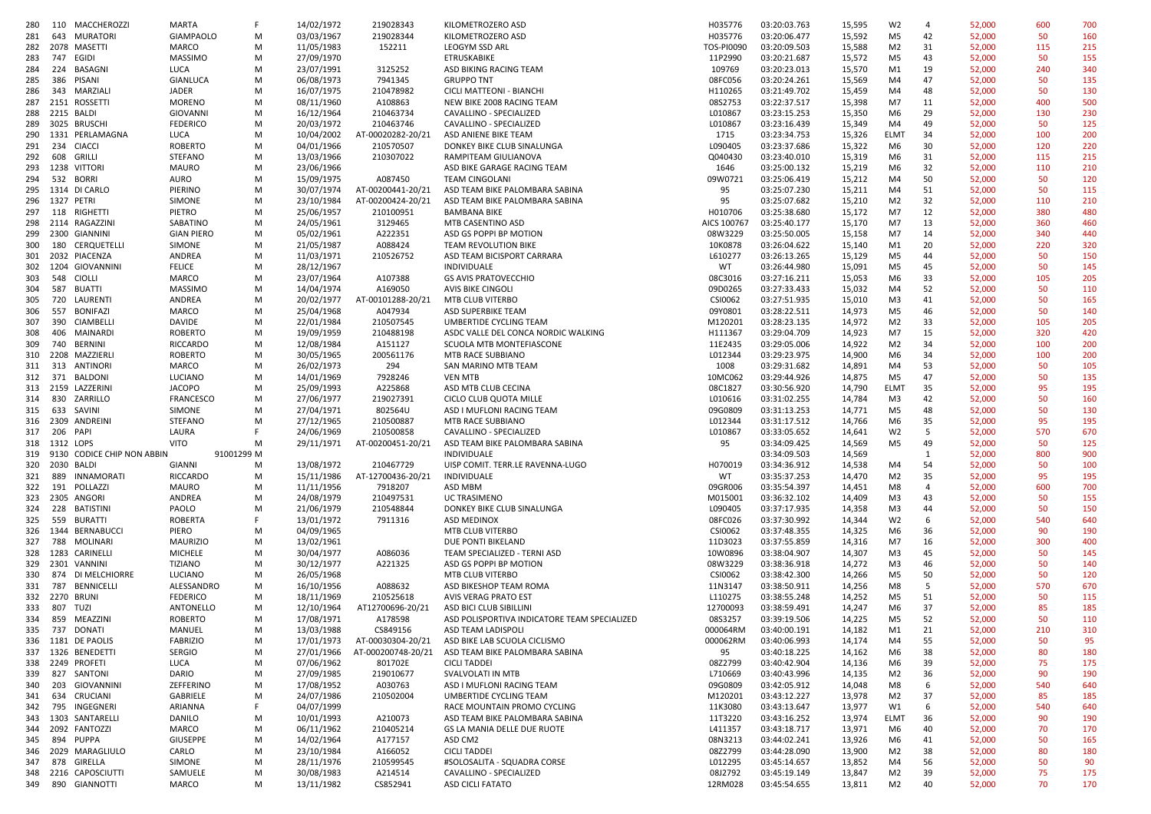| 280 |            | 110 MACCHEROZZI            | <b>MARTA</b>      | F.     | 14/02/1972 | 219028343          | KILOMETROZERO ASD                                    | H035776     | 03:20:03.763          | 15,595 | W <sub>2</sub> | $\overline{4}$ | 52,000 | 600 | 700 |
|-----|------------|----------------------------|-------------------|--------|------------|--------------------|------------------------------------------------------|-------------|-----------------------|--------|----------------|----------------|--------|-----|-----|
| 281 | 643        | MURATORI                   | <b>GIAMPAOLO</b>  | М      | 03/03/1967 | 219028344          | KILOMETROZERO ASD                                    | H035776     | 03:20:06.477          | 15,592 | M5             | 42             | 52,000 | 50  | 160 |
| 282 |            | 2078 MASETTI               | MARCO             | М      | 11/05/1983 | 152211             | LEOGYM SSD ARL                                       | TOS-PI0090  | 03:20:09.503          | 15,588 | M2             | 31             | 52,000 | 115 | 215 |
| 283 | 747 EGIDI  |                            | <b>MASSIMO</b>    | М      | 27/09/1970 |                    | ETRUSKABIKE                                          | 11P2990     | 03:20:21.687          | 15,572 | M <sub>5</sub> | 43             | 52,000 | 50  | 155 |
| 284 |            | 224 BASAGNI                | LUCA              | M      | 23/07/1991 | 3125252            | ASD BIKING RACING TEAM                               | 109769      | 03:20:23.013          | 15,570 | M1             | 19             | 52,000 | 240 | 340 |
| 285 | 386        | PISANI                     | GIANLUCA          | М      | 06/08/1973 | 7941345            | <b>GRUPPO TNT</b>                                    | 08FC056     | 03:20:24.261          | 15,569 | M4             | 47             | 52,000 | 50  | 135 |
| 286 | 343        | MARZIALI                   | <b>JADER</b>      |        | 16/07/1975 | 210478982          |                                                      | H110265     | 03:21:49.702          |        | M4             | 48             | 52,000 | 50  | 130 |
|     |            | 2151 ROSSETTI              |                   | М<br>М |            |                    | CICLI MATTEONI - BIANCH<br>NEW BIKE 2008 RACING TEAM |             |                       | 15,459 | M7             |                |        | 400 | 500 |
| 287 |            |                            | <b>MORENO</b>     |        | 08/11/1960 | A108863            |                                                      | 08S2753     | 03:22:37.517          | 15,398 |                | 11             | 52,000 |     |     |
| 288 |            | 2215 BALDI                 | GIOVANNI          | М      | 16/12/1964 | 210463734          | CAVALLINO - SPECIALIZED                              | L010867     | 03:23:15.253          | 15,350 | M <sub>6</sub> | 29             | 52,000 | 130 | 230 |
| 289 |            | 3025 BRUSCHI               | <b>FEDERICO</b>   | М      | 20/03/1972 | 210463746          | CAVALLINO - SPECIALIZED                              | L010867     | 03:23:16.439          | 15,349 | M4             | 49             | 52,000 | 50  | 125 |
| 290 |            | 1331 PERLAMAGNA            | LUCA              | М      | 10/04/2002 | AT-00020282-20/21  | ASD ANIENE BIKE TEAM                                 | 1715        | 03:23:34.753          | 15,326 | <b>ELMT</b>    | 34             | 52,000 | 100 | 200 |
| 291 | 234        | CIACCI                     | <b>ROBERTO</b>    | М      | 04/01/1966 | 210570507          | DONKEY BIKE CLUB SINALUNGA                           | L090405     | 03:23:37.686          | 15,322 | M6             | 30             | 52,000 | 120 | 220 |
| 292 | 608        | GRILLI                     | <b>STEFANO</b>    | М      | 13/03/1966 | 210307022          | RAMPITEAM GIULIANOVA                                 | Q040430     | 03:23:40.010          | 15,319 | M6             | 31             | 52,000 | 115 | 215 |
| 293 |            | 1238 VITTORI               | MAURO             | М      | 23/06/1966 |                    | ASD BIKE GARAGE RACING TEAM                          | 1646        | 03:25:00.132          | 15,219 | M6             | 32             | 52,000 | 110 | 210 |
| 294 |            | 532 BORRI                  | AURO              | М      | 15/09/1975 | A087450            | <b>TEAM CINGOLANI</b>                                | 09W0721     | 03:25:06.419          | 15,212 | M4             | 50             | 52,000 | 50  | 120 |
| 295 |            | 1314 DI CARLO              | PIERINO           | М      | 30/07/1974 | AT-00200441-20/21  | ASD TEAM BIKE PALOMBARA SABINA                       | 95          | 03:25:07.230          | 15,211 | M4             | 51             | 52,000 | 50  | 115 |
| 296 | 1327 PETRI |                            | SIMONE            | М      | 23/10/1984 | AT-00200424-20/21  | ASD TEAM BIKE PALOMBARA SABINA                       | 95          | 03:25:07.682          | 15,210 | M <sub>2</sub> | 32             | 52,000 | 110 | 210 |
| 297 | 118        | RIGHETTI                   | PIETRO            | М      | 25/06/1957 | 210100951          | <b>BAMBANA BIKE</b>                                  | H010706     | 03:25:38.680          | 15,172 | M7             | 12             | 52,000 | 380 | 480 |
| 298 |            | 2114 RAGAZZINI             | SABATINO          | М      | 24/05/1961 | 3129465            | MTB CASENTINO ASD                                    | AICS 100767 | 03:25:40.177          | 15,170 | M7             | 13             | 52,000 | 360 | 460 |
| 299 |            | 2300 GIANNINI              | <b>GIAN PIERO</b> | М      | 05/02/1961 | A222351            | ASD GS POPPI BP MOTION                               | 08W3229     | 03:25:50.005          | 15,158 | M7             | 14             | 52,000 | 340 | 440 |
| 300 | 180        | CERQUETELLI                | <b>SIMONE</b>     | М      | 21/05/1987 | A088424            | TEAM REVOLUTION BIKE                                 | 10K0878     | 03:26:04.622          | 15,140 | M1             | 20             | 52,000 | 220 | 320 |
| 301 |            | 2032 PIACENZA              | ANDREA            | М      | 11/03/1971 | 210526752          | ASD TEAM BICISPORT CARRARA                           | L610277     | 03:26:13.265          | 15,129 | M5             | 44             | 52,000 | 50  | 150 |
| 302 |            | 1204 GIOVANNINI            | <b>FELICE</b>     | M      | 28/12/1967 |                    | INDIVIDUALE                                          | WT          | 03:26:44.980          | 15,091 | M5             | 45             | 52,000 | 50  | 145 |
|     |            |                            |                   |        |            |                    |                                                      | 08C3016     | 03:27:16.211          |        |                | 33             |        |     |     |
| 303 | 548        | <b>CIOLLI</b>              | MARCO             | М      | 23/07/1964 | A107388            | <b>GS AVIS PRATOVECCHIO</b>                          |             |                       | 15,053 | M6             |                | 52,000 | 105 | 205 |
| 304 | 587        | <b>BUATTI</b>              | <b>MASSIMO</b>    | М      | 14/04/1974 | A169050            | AVIS BIKE CINGOLI                                    | 09D0265     | 03:27:33.433          | 15,032 | M4             | 52             | 52,000 | 50  | 110 |
| 305 |            | 720 LAURENTI               | ANDREA            | М      | 20/02/1977 | AT-00101288-20/21  | MTB CLUB VITERBO                                     | CSI0062     | 03:27:51.935          | 15,010 | M3             | 41             | 52,000 | 50  | 165 |
| 306 | 557        | BONIFAZI                   | MARCO             | м      | 25/04/1968 | A047934            | ASD SUPERBIKE TEAM                                   | 09Y0801     | 03:28:22.511          | 14,973 | M5             | 46             | 52,000 | 50  | 140 |
| 307 | 390        | CIAMBELLI                  | DAVIDE            | М      | 22/01/1984 | 210507545          | UMBERTIDE CYCLING TEAM                               | M120201     | 03:28:23.135          | 14,972 | M <sub>2</sub> | 33             | 52,000 | 105 | 205 |
| 308 |            | 406 MAINARDI               | <b>ROBERTO</b>    | м      | 19/09/1959 | 210488198          | ASDC VALLE DEL CONCA NORDIC WALKING                  | H111367     | 03:29:04.709          | 14,923 | M7             | 15             | 52,000 | 320 | 420 |
| 309 | 740        | BERNINI                    | <b>RICCARDO</b>   | м      | 12/08/1984 | A151127            | SCUOLA MTB MONTEFIASCONE                             | 11E2435     | 03:29:05.006          | 14,922 | M <sub>2</sub> | 34             | 52,000 | 100 | 200 |
| 310 |            | 2208 MAZZIERLI             | <b>ROBERTO</b>    | М      | 30/05/1965 | 200561176          | MTB RACE SUBBIANO                                    | L012344     | 03:29:23.975          | 14,900 | M6             | 34             | 52,000 | 100 | 200 |
| 311 |            | 313 ANTINORI               | MARCO             | М      | 26/02/1973 | 294                | SAN MARINO MTB TEAM                                  | 1008        | 03:29:31.682          | 14,891 | M4             | 53             | 52,000 | 50  | 105 |
| 312 |            | 371 BALDONI                | LUCIANO           | м      | 14/01/1969 | 7928246            | <b>VEN MTB</b>                                       | 10MC062     | 03:29:44.926          | 14,875 | M5             | 47             | 52,000 | 50  | 135 |
|     |            | 313 2159 LAZZERINI         | <b>JACOPO</b>     | М      | 25/09/1993 | A225868            | ASD MTB CLUB CECINA                                  | 08C1827     | 03:30:56.920          | 14,790 | <b>ELMT</b>    | 35             | 52,000 | 95  | 195 |
| 314 | 830        | ZARRILLO                   | <b>FRANCESCO</b>  | М      | 27/06/1977 | 219027391          | CICLO CLUB QUOTA MILLE                               | L010616     | 03:31:02.255          | 14,784 | M3             | 42             | 52,000 | 50  | 160 |
| 315 | 633        | SAVINI                     | SIMONE            | М      | 27/04/1971 | 802564U            | ASD I MUFLONI RACING TEAM                            | 09G0809     | 03:31:13.253          | 14,771 | M5             | 48             | 52,000 | 50  | 130 |
| 316 |            | 2309 ANDREINI              | <b>STEFANO</b>    | М      | 27/12/1965 | 210500887          | MTB RACE SUBBIANO                                    | L012344     | 03:31:17.512          | 14,766 | M6             | 35             | 52,000 | 95  | 195 |
| 317 | 206 PAPI   |                            | LAURA             | F.     | 24/06/1969 | 210500858          | CAVALLINO - SPECIALIZED                              | L010867     | 03:33:05.652          |        | W <sub>2</sub> | 5              | 52,000 | 570 | 670 |
|     |            |                            |                   |        |            |                    |                                                      |             |                       | 14,641 |                |                |        |     |     |
| 318 | 1312 LOPS  |                            | <b>VITO</b>       | М      | 29/11/1971 | AT-00200451-20/21  | ASD TEAM BIKE PALOMBARA SABINA                       | 95          | 03:34:09.425          | 14,569 | M5             | 49             | 52,000 | 50  | 125 |
| 319 |            | 9130 CODICE CHIP NON ABBIN | 91001299 M        |        |            |                    | INDIVIDUALE                                          |             | 03:34:09.503          | 14,569 |                | 1              | 52,000 | 800 | 900 |
| 320 | 2030 BALDI |                            | GIANNI            | М      | 13/08/1972 | 210467729          | UISP COMIT. TERR.LE RAVENNA-LUGO                     | H070019     | 03:34:36.912          | 14,538 | M4             | 54             | 52,000 | 50  | 100 |
| 321 | 889        | INNAMORATI                 | <b>RICCARDO</b>   | М      | 15/11/1986 | AT-12700436-20/21  | INDIVIDUALE                                          | WT          | 03:35:37.253          | 14,470 | M <sub>2</sub> | 35             | 52,000 | 95  | 195 |
| 322 |            | 191 POLLAZZI               | <b>MAURO</b>      | М      | 11/11/1956 | 7918207            | ASD MBM                                              | 09GR006     | 03:35:54.397          | 14,451 | M8             | $\overline{4}$ | 52,000 | 600 | 700 |
|     |            | 323 2305 ANGORI            | ANDREA            | м      | 24/08/1979 | 210497531          | UC TRASIMENO                                         | M015001     | 03:36:32.102          | 14,409 | M3             | 43             | 52,000 | 50  | 155 |
| 324 | 228        | BATISTINI                  | PAOLO             | м      | 21/06/1979 | 210548844          | DONKEY BIKE CLUB SINALUNGA                           | L090405     | 03:37:17.935          | 14,358 | M <sub>3</sub> | 44             | 52,000 | 50  | 150 |
| 325 | 559        | <b>BURATTI</b>             | ROBERTA           | F.     | 13/01/1972 | 7911316            | ASD MEDINOX                                          | 08FC026     | 03:37:30.992          | 14,344 | W <sub>2</sub> | 6              | 52,000 | 540 | 640 |
| 326 |            | 1344 BERNABUCCI            | PIERO             | м      | 04/09/1965 |                    | MTB CLUB VITERBO                                     | CSI0062     | 03:37:48.355          | 14,325 | M6             | 36             | 52,000 | 90  | 190 |
| 327 |            | 788 MOLINARI               | <b>MAURIZIO</b>   | М      | 13/02/1961 |                    | DUE PONTI BIKELAND                                   | 11D3023     | 03:37:55.859          | 14,316 | M7             | 16             | 52,000 | 300 | 400 |
|     |            | 328 1283 CARINELLI         | <b>MICHELE</b>    | М      | 30/04/1977 | A086036            | TEAM SPECIALIZED - TERNI ASD                         | 10W0896     | 03:38:04.907          | 14,307 | M3             | 45             | 52,000 | 50  | 145 |
| 329 |            | 2301 VANNINI               | <b>TIZIANO</b>    | М      | 30/12/1977 | A221325            | ASD GS POPPI BP MOTION                               | 08W3229     | 03:38:36.918          | 14,272 | M3             | 46             | 52,000 | 50  | 140 |
| 330 |            | 874 DI MELCHIORRE          | LUCIANO           | М      | 26/05/1968 |                    | MTB CLUB VITERBO                                     | CSI0062     | 03:38:42.300          | 14,266 | M5             | 50             | 52,000 | 50  | 120 |
|     |            | 331 787 BENNICELLI         | ALESSANDRO        | М      | 16/10/1956 | A088632            | ASD BIKESHOP TEAM ROMA                               | 11N3147     | 03:38:50.911          | 14,256 | M8             | -5             | 52,000 | 570 | 670 |
| 332 |            | 2270 BRUNI                 | <b>FEDERICO</b>   | М      | 18/11/1969 | 210525618          | AVIS VERAG PRATO EST                                 | L110275     | 03:38:55.248          | 14,252 | M5             | 51             | 52,000 | 50  | 115 |
| 333 | 807 TUZI   |                            | ANTONELLO         | М      | 12/10/1964 | AT12700696-20/21   | ASD BICI CLUB SIBILLINI                              | 12700093    | 03:38:59.491          | 14,247 | M6             | 37             | 52,000 | 85  | 185 |
|     |            | 334 859 MEAZZINI           | ROBERTO           | м      | 17/08/1971 | A178598            | ASD POLISPORTIVA INDICATORE TEAM SPECIALIZED         | 08S3257     | 03:39:19.506          | 14,225 | M5             | 52             | 52,000 | 50  | 110 |
|     |            | 335 737 DONATI             | MANUEL            | М      | 13/03/1988 | CS849156           | ASD TEAM LADISPOLI                                   |             | 000064RM 03:40:00.191 | 14,182 | M1             | 21             | 52,000 | 210 | 310 |
|     |            | 336 1181 DE PAOLIS         | <b>FABRIZIO</b>   |        | 17/01/1973 | AT-00030304-20/21  | ASD BIKE LAB SCUOLA CICLISMO                         | 000062RM    | 03:40:06.993          |        | M4             | 55             |        | 50  | 95  |
|     |            |                            |                   | M      |            |                    |                                                      |             |                       | 14,174 |                |                | 52,000 |     |     |
|     |            | 337 1326 BENEDETTI         | SERGIO            | M      | 27/01/1966 | AT-000200748-20/21 | ASD TEAM BIKE PALOMBARA SABINA                       | 95          | 03:40:18.225          | 14,162 | M6             | 38             | 52,000 | 80  | 180 |
| 338 |            | 2249 PROFETI               | LUCA              | М      | 07/06/1962 | 801702E            | <b>CICLI TADDEI</b>                                  | 08Z2799     | 03:40:42.904          | 14,136 | M6             | 39             | 52,000 | 75  | 175 |
| 339 |            | 827 SANTONI                | DARIO             | М      | 27/09/1985 | 219010677          | SVALVOLATI IN MTB                                    | L710669     | 03:40:43.996          | 14,135 | M <sub>2</sub> | 36             | 52,000 | 90  | 190 |
| 340 |            | 203 GIOVANNINI             | ZEFFERINO         | М      | 17/08/1952 | A030763            | ASD I MUFLONI RACING TEAM                            | 09G0809     | 03:42:05.912          | 14,048 | M8             | 6              | 52,000 | 540 | 640 |
| 341 |            | 634 CRUCIANI               | GABRIELE          | M      | 24/07/1986 | 210502004          | UMBERTIDE CYCLING TEAM                               | M120201     | 03:43:12.227          | 13,978 | M2             | 37             | 52,000 | 85  | 185 |
|     |            | 342 795 INGEGNERI          | ARIANNA           | F.     | 04/07/1999 |                    | RACE MOUNTAIN PROMO CYCLING                          | 11K3080     | 03:43:13.647          | 13,977 | W1             | 6              | 52,000 | 540 | 640 |
|     |            | 343 1303 SANTARELLI        | DANILO            | M      | 10/01/1993 | A210073            | ASD TEAM BIKE PALOMBARA SABINA                       | 11T3220     | 03:43:16.252          | 13,974 | <b>ELMT</b>    | 36             | 52,000 | 90  | 190 |
|     |            | 344 2092 FANTOZZI          | MARCO             | M      | 06/11/1962 | 210405214          | GS LA MANIA DELLE DUE RUOTE                          | L411357     | 03:43:18.717          | 13,971 | M6             | 40             | 52,000 | 70  | 170 |
|     |            | 345 894 PUPPA              | <b>GIUSEPPE</b>   | М      | 14/02/1964 | A177157            | ASD CM2                                              | 08N3213     | 03:44:02.241          | 13,926 | M6             | 41             | 52,000 | 50  | 165 |
| 346 |            | 2029 MARAGLIULO            | CARLO             | M      | 23/10/1984 | A166052            | <b>CICLI TADDEI</b>                                  | 08Z2799     | 03:44:28.090          | 13,900 | M <sub>2</sub> | 38             | 52,000 | 80  | 180 |
| 347 |            | 878 GIRELLA                | SIMONE            | M      | 28/11/1976 | 210599545          | #SOLOSALITA - SQUADRA CORSE                          | L012295     | 03:45:14.657          | 13,852 | M4             | 56             | 52,000 | 50  | 90  |
|     |            | 348 2216 CAPOSCIUTTI       | SAMUELE           | М      | 30/08/1983 | A214514            | CAVALLINO - SPECIALIZED                              | 08J2792     | 03:45:19.149          | 13,847 | M <sub>2</sub> | 39             | 52,000 | 75  | 175 |
|     |            | 349 890 GIANNOTTI          | MARCO             | M      | 13/11/1982 | CS852941           | <b>ASD CICLI FATATO</b>                              | 12RM028     | 03:45:54.655          | 13,811 | M <sub>2</sub> | 40             | 52,000 | 70  | 170 |
|     |            |                            |                   |        |            |                    |                                                      |             |                       |        |                |                |        |     |     |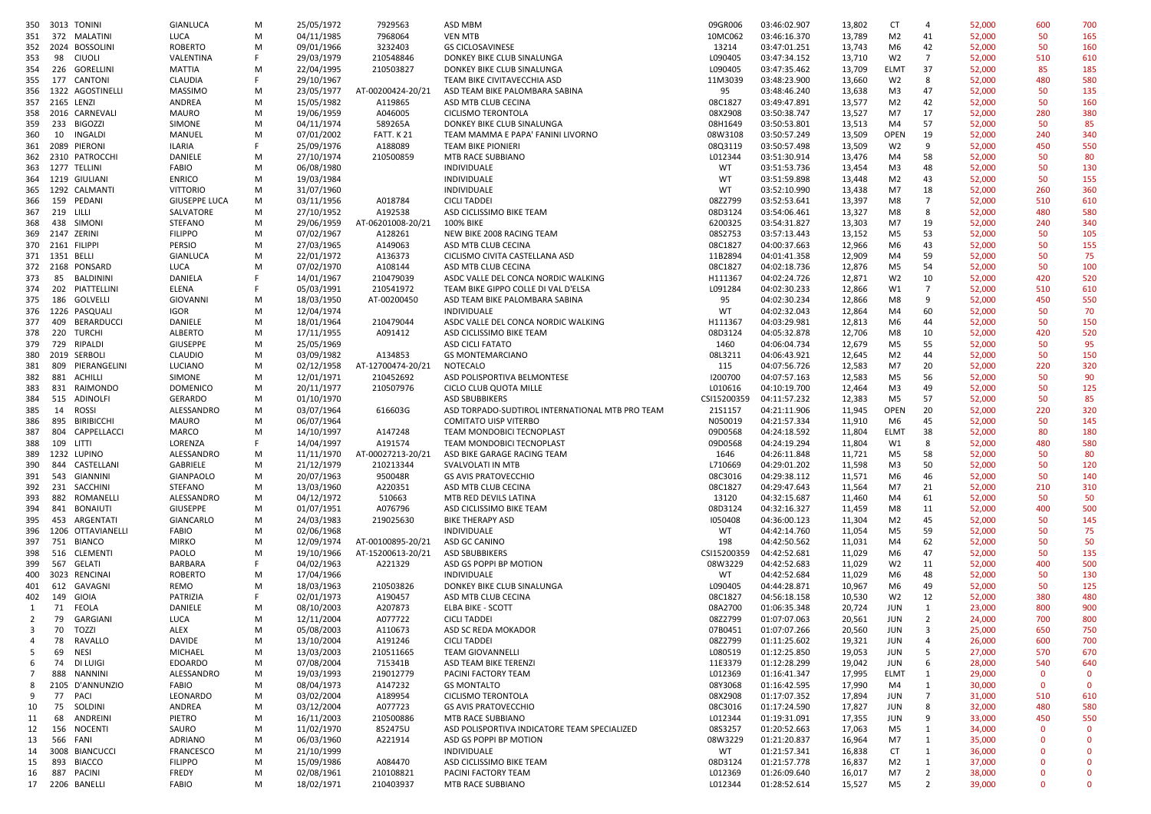| 350          | 3013 TONINI                   | GIANLUCA             | м      | 25/05/1972               | 7929563                | ASD MBM                                         | 09GR006            | 03:46:02.907                 | 13,802           | <b>CT</b>      | $\overline{a}$                   | 52,000           | 600         | 700          |
|--------------|-------------------------------|----------------------|--------|--------------------------|------------------------|-------------------------------------------------|--------------------|------------------------------|------------------|----------------|----------------------------------|------------------|-------------|--------------|
| 351          | 372 MALATINI                  | LUCA                 | м      | 04/11/1985               | 7968064                | <b>VEN MTB</b>                                  | 10MC062            | 03:46:16.370                 | 13,789           | M <sub>2</sub> | 41                               | 52,000           | 50          | 165          |
|              |                               |                      |        |                          |                        |                                                 |                    |                              |                  |                |                                  |                  |             |              |
| 352          | 2024 BOSSOLINI                | ROBERTO              | M      | 09/01/1966               | 3232403                | <b>GS CICLOSAVINESE</b>                         | 13214              | 03:47:01.251                 | 13,743           | M <sub>6</sub> | 42                               | 52,000           | 50          | 160          |
| 353          | 98<br>CIUOLI                  | VALENTINA            | F      | 29/03/1979               | 210548846              | DONKEY BIKE CLUB SINALUNGA                      | L090405            | 03:47:34.152                 | 13,710           | W <sub>2</sub> | $\overline{7}$                   | 52,000           | 510         | 610          |
| 354          | 226 GORELLINI                 | <b>MATTIA</b>        | м      | 22/04/1995               | 210503827              | DONKEY BIKE CLUB SINALUNGA                      | L090405            | 03:47:35.462                 | 13,709           | <b>ELMT</b>    | 37                               | 52,000           | 85          | 185          |
| 355          | 177 CANTONI                   | CLAUDIA              | F.     | 29/10/1967               |                        | TEAM BIKE CIVITAVECCHIA ASD                     | 11M3039            | 03:48:23.900                 | 13,660           | W <sub>2</sub> | 8                                | 52,000           | 480         | 580          |
| 356          | 1322 AGOSTINELLI              | <b>MASSIMO</b>       | м      | 23/05/1977               | AT-00200424-20/21      | ASD TEAM BIKE PALOMBARA SABINA                  | 95                 | 03:48:46.240                 | 13,638           | M3             | 47                               | 52,000           | 50          | 135          |
|              | 357 2165 LENZI                | ANDREA               | м      | 15/05/1982               | A119865                | ASD MTB CLUB CECINA                             | 08C1827            | 03:49:47.891                 | 13,577           | M <sub>2</sub> | 42                               |                  | 50          | 160          |
|              |                               |                      |        |                          |                        |                                                 |                    |                              |                  |                |                                  | 52,000           |             |              |
| 358          | 2016 CARNEVALI                | <b>MAURO</b>         | M      | 19/06/1959               | A046005                | <b>CICLISMO TERONTOLA</b>                       | 08X2908            | 03:50:38.747                 | 13,527           | M7             | 17                               | 52,000           | 280         | 380          |
| 359          | 233 BIGOZZI                   | SIMONE               | м      | 04/11/1974               | 589265A                | DONKEY BIKE CLUB SINALUNGA                      | 08H1649            | 03:50:53.801                 | 13,513           | M4             | 57                               | 52,000           | 50          | 85           |
| 360          | 10<br>INGALDI                 | MANUEL               | м      | 07/01/2002               | <b>FATT. K21</b>       | TEAM MAMMA E PAPA' FANINI LIVORNO               | 08W3108            | 03:50:57.249                 | 13,509           | <b>OPEN</b>    | 19                               | 52,000           | 240         | 340          |
| 361          | 2089 PIERONI                  | ILARIA               | F      | 25/09/1976               | A188089                | <b>TEAM BIKE PIONIERI</b>                       | 08Q3119            | 03:50:57.498                 | 13,509           | W <sub>2</sub> | 9                                | 52,000           | 450         | 550          |
| 362          | 2310 PATROCCHI                | DANIELE              | М      | 27/10/1974               | 210500859              | MTB RACE SUBBIANO                               | L012344            | 03:51:30.914                 | 13,476           | M4             | 58                               | 52,000           | 50          | 80           |
|              |                               |                      |        |                          |                        |                                                 |                    |                              |                  |                |                                  |                  |             |              |
|              | 363 1277 TELLINI              | FABIO                | M      | 06/08/1980               |                        | INDIVIDUALE                                     | WT                 | 03:51:53.736                 | 13,454           | M3             | 48                               | 52,000           | 50          | 130          |
|              | 364 1219 GIULIANI             | <b>ENRICO</b>        | м      | 19/03/1984               |                        | INDIVIDUALE                                     | WT                 | 03:51:59.898                 | 13,448           | M <sub>2</sub> | 43                               | 52,000           | 50          | 155          |
| 365          | 1292 CALMANTI                 | <b>VITTORIO</b>      | м      | 31/07/1960               |                        | INDIVIDUALE                                     | WT                 | 03:52:10.990                 | 13,438           | M7             | 18                               | 52,000           | 260         | 360          |
| 366          | 159 PEDANI                    | <b>GIUSEPPE LUCA</b> | м      | 03/11/1956               | A018784                | <b>CICLI TADDEI</b>                             | 08Z2799            | 03:52:53.641                 | 13,397           | M8             | $\overline{7}$                   | 52,000           | 510         | 610          |
| 367          | 219 LILLI                     | SALVATORE            | м      | 27/10/1952               | A192538                | ASD CICLISSIMO BIKE TEAM                        | 08D3124            | 03:54:06.461                 | 13,327           | M8             | 8                                | 52,000           | 480         | 580          |
| 368          | 438 SIMONI                    | <b>STEFANO</b>       | м      | 29/06/1959               | AT-06201008-20/21      | 100% BIKE                                       | 6200325            | 03:54:31.827                 | 13,303           | M7             | 19                               | 52,000           | 240         | 340          |
|              |                               |                      |        |                          |                        |                                                 |                    |                              |                  |                |                                  |                  |             |              |
| 369          | 2147 ZERINI                   | <b>FILIPPO</b>       | M      | 07/02/1967               | A128261                | NEW BIKE 2008 RACING TEAM                       | 08S2753            | 03:57:13.443                 | 13,152           | M5             | 53                               | 52,000           | 50          | 105          |
| 370          | 2161 FILIPPI                  | PERSIO               | М      | 27/03/1965               | A149063                | ASD MTB CLUB CECINA                             | 08C1827            | 04:00:37.663                 | 12,966           | M <sub>6</sub> | 43                               | 52,000           | 50          | 155          |
|              | 371 1351 BELLI                | GIANLUCA             | м      | 22/01/1972               | A136373                | CICLISMO CIVITA CASTELLANA ASD                  | 11B2894            | 04:01:41.358                 | 12,909           | M4             | 59                               | 52,000           | 50          | 75           |
|              | 372 2168 PONSARD              | LUCA                 | M      | 07/02/1970               | A108144                | ASD MTB CLUB CECINA                             | 08C1827            | 04:02:18.736                 | 12,876           | M5             | 54                               | 52,000           | 50          | 100          |
| 373          | 85<br>BALDININI               | DANIELA              | F.     | 14/01/1967               | 210479039              | ASDC VALLE DEL CONCA NORDIC WALKING             | H111367            | 04:02:24.726                 | 12,871           | W <sub>2</sub> | 10                               | 52,000           | 420         | 520          |
|              |                               |                      | F.     |                          |                        | TEAM BIKE GIPPO COLLE DI VAL D'ELSA             |                    | 04:02:30.233                 |                  |                |                                  |                  |             |              |
| 374          | 202<br>PIATTELLINI            | ELENA                |        | 05/03/1991               | 210541972              |                                                 | L091284            |                              | 12,866           | W1             | $\overline{7}$                   | 52,000           | 510         | 610          |
| 375          | 186 GOLVELLI                  | GIOVANNI             | M      | 18/03/1950               | AT-00200450            | ASD TEAM BIKE PALOMBARA SABINA                  | 95                 | 04:02:30.234                 | 12,866           | M8             | 9                                | 52,000           | 450         | 550          |
| 376          | 1226 PASQUALI                 | IGOR                 | M      | 12/04/1974               |                        | INDIVIDUALE                                     | WT                 | 04:02:32.043                 | 12,864           | M4             | 60                               | 52,000           | 50          | 70           |
| 377          | 409<br>BERARDUCCI             | DANIELE              | м      | 18/01/1964               | 210479044              | ASDC VALLE DEL CONCA NORDIC WALKING             | H111367            | 04:03:29.981                 | 12,813           | M6             | 44                               | 52,000           | 50          | 150          |
| 378          | 220<br>TURCHI                 | <b>ALBERTO</b>       | M      | 17/11/1955               | A091412                | ASD CICLISSIMO BIKE TEAM                        | 08D3124            | 04:05:32.878                 | 12,706           | M8             | 10                               | 52,000           | 420         | 520          |
| 379          | 729<br>RIPALDI                | <b>GIUSEPPE</b>      | м      | 25/05/1969               |                        | <b>ASD CICLI FATATO</b>                         | 1460               | 04:06:04.734                 | 12,679           | M <sub>5</sub> | 55                               | 52,000           | 50          | 95           |
|              |                               |                      |        |                          |                        |                                                 |                    |                              |                  |                |                                  |                  |             |              |
| 380          | 2019 SERBOLI                  | <b>CLAUDIO</b>       | м      | 03/09/1982               | A134853                | <b>GS MONTEMARCIANO</b>                         | 08L3211            | 04:06:43.921                 | 12,645           | M <sub>2</sub> | 44                               | 52,000           | 50          | 150          |
| 381          | 809 PIERANGELINI              | LUCIANO              | M      | 02/12/1958               | AT-12700474-20/21      | NOTECALO                                        | 115                | 04:07:56.726                 | 12,583           | M7             | 20                               | 52,000           | 220         | 320          |
| 382          | 881 ACHILLI                   | SIMONE               | м      | 12/01/1971               | 210452692              | ASD POLISPORTIVA BELMONTESE                     | 1200700            | 04:07:57.163                 | 12,583           | M5             | 56                               | 52,000           | 50          | 90           |
| 383          | 831 RAIMONDO                  | <b>DOMENICO</b>      | м      | 20/11/1977               | 210507976              | CICLO CLUB QUOTA MILLE                          | L010616            | 04:10:19.700                 | 12,464           | M3             | 49                               | 52,000           | 50          | 125          |
| 384          | 515 ADINOLFI                  | GERARDO              | м      | 01/10/1970               |                        | <b>ASD SBUBBIKERS</b>                           | CSI15200359        | 04:11:57.232                 | 12,383           | M <sub>5</sub> | 57                               | 52,000           | 50          | 85           |
|              |                               |                      |        |                          |                        | ASD TORPADO-SUDTIROL INTERNATIONAL MTB PRO TEAM |                    | 04:21:11.906                 |                  |                | 20                               |                  |             |              |
| 385          | 14<br>ROSSI                   | ALESSANDRO           | M      | 03/07/1964               | 616603G                |                                                 | 21S1157            |                              | 11,945           | <b>OPEN</b>    |                                  | 52,000           | 220         | 320          |
| 386          | 895<br><b>BIRIBICCHI</b>      | <b>MAURO</b>         | м      | 06/07/1964               |                        | <b>COMITATO UISP VITERBO</b>                    | N050019            | 04:21:57.334                 | 11,910           | M6             | 45                               | 52,000           | 50          | 145          |
| 387          | 804 CAPPELLACCI               | MARCO                | M      | 14/10/1997               | A147248                | TEAM MONDOBICI TECNOPLAST                       | 09D0568            | 04:24:18.592                 | 11,804           | <b>ELMT</b>    | 38                               | 52,000           | 80          | 180          |
| 388          | 109<br>LITTI                  | LORENZA              | F.     | 14/04/1997               | A191574                | TEAM MONDOBICI TECNOPLAST                       | 09D0568            | 04:24:19.294                 | 11,804           | W1             | 8                                | 52,000           | 480         | 580          |
| 389          | 1232 LUPINO                   | ALESSANDRO           | м      | 11/11/1970               | AT-00027213-20/21      | ASD BIKE GARAGE RACING TEAM                     | 1646               | 04:26:11.848                 | 11,721           | M5             | 58                               | 52,000           | 50          | 80           |
| 390          | 844 CASTELLANI                | GABRIELE             | м      | 21/12/1979               | 210213344              | SVALVOLATI IN MTB                               | L710669            | 04:29:01.202                 | 11,598           | M <sub>3</sub> | 50                               | 52,000           | 50          | 120          |
|              |                               |                      |        |                          |                        |                                                 |                    |                              |                  |                |                                  |                  |             |              |
| 391          | 543<br>GIANNINI               | <b>GIANPAOLO</b>     | м      | 20/07/1963               | 950048R                | <b>GS AVIS PRATOVECCHIO</b>                     | 08C3016            | 04:29:38.112                 | 11,571           | M6             | 46                               | 52,000           | 50          | 140          |
| 392          | 231 SACCHINI                  | STEFANO              | м      | 13/03/1960               | A220351                | ASD MTB CLUB CECINA                             | 08C1827            | 04:29:47.643                 | 11,564           | M7             | 21                               | 52,000           | 210         | 310          |
| 393          | 882 ROMANELLI                 | ALESSANDRO           | м      | 04/12/1972               | 510663                 | MTB RED DEVILS LATINA                           | 13120              | 04:32:15.687                 | 11,460           | M4             | 61                               | 52,000           | 50          | 50           |
| 394          | 841 BONAIUTI                  | <b>GIUSEPPE</b>      | м      | 01/07/1951               | A076796                | ASD CICLISSIMO BIKE TEAM                        | 08D3124            | 04:32:16.327                 | 11,459           | M8             | 11                               | 52,000           | 400         | 500          |
| 395          | 453 ARGENTATI                 | GIANCARLO            | м      | 24/03/1983               | 219025630              | <b>BIKE THERAPY ASD</b>                         | 1050408            | 04:36:00.123                 | 11,304           | M <sub>2</sub> | 45                               | 52,000           | 50          | 145          |
| 396          | 1206 OTTAVIANELLI             | <b>FABIO</b>         | м      | 02/06/1968               |                        | INDIVIDUALE                                     | WT                 | 04:42:14.760                 | 11,054           | M5             | 59                               | 52,000           | 50          | 75           |
|              |                               |                      |        |                          |                        |                                                 |                    |                              |                  |                |                                  |                  |             |              |
| 397          | 751<br>BIANCO                 | <b>MIRKO</b>         | м      | 12/09/1974               | AT-00100895-20/21      | ASD GC CANINO                                   | 198                | 04:42:50.562                 | 11,031           | M4             | 62                               | 52,000           | 50          | 50           |
| 398          | 516 CLEMENTI                  | PAOLO                | м      | 19/10/1966               | AT-15200613-20/21      | <b>ASD SBUBBIKERS</b>                           | CSI15200359        | 04:42:52.681                 | 11,029           | M6             | 47                               | 52,000           | 50          | 135          |
| 399          | 567<br>GELATI                 | BARBARA              |        | 04/02/1963               | A221329                | ASD GS POPPI BP MOTION                          | 08W3229            | 04:42:52.683                 | 11,029           | W <sub>2</sub> | 11                               | 52,000           | 400         | 500          |
| 400          | 3023 RENCINAI                 | ROBERTO              | м      | 17/04/1966               |                        | INDIVIDUALE                                     | WT                 | 04:42:52.684                 | 11,029           | M6             | 48                               | 52,000           | 50          | 130          |
| 401          | 612 GAVAGNI                   | REMO                 | м      | 18/03/1963               | 210503826              | DONKEY BIKE CLUB SINALUNGA                      | L090405            | 04:44:28.871                 | 10,967           | M6             | 49                               | 52,000           | 50          | 125          |
| 402          | 149 GIOIA                     | PATRIZIA             |        | 02/01/1973               | A190457                | ASD MTB CLUB CECINA                             | 08C1827            | 04:56:18.158                 | 10,530           | W <sub>2</sub> | 12                               | 52,000           | 380         | 480          |
|              |                               |                      |        |                          |                        |                                                 |                    |                              |                  |                |                                  |                  |             |              |
| 1            | 71 FEOLA                      | DANIELE              | M      | 08/10/2003               | A207873                | ELBA BIKE - SCOTT                               | 08A2700            | 01:06:35.348                 | 20,724           | <b>JUN</b>     | 1                                | 23,000           | 800         | 900          |
| 2            | 79 GARGIANI                   | LUCA                 | м      | 12/11/2004               | A077722                | <b>CICLI TADDEI</b>                             | 08Z2799            | 01:07:07.063                 | 20,561           | JUN            | $\overline{2}$                   | 24,000           | 700         | 800          |
| $\mathbf{R}$ | 70 TOZZI                      | ALEX                 |        | 05/08/2003               | A110673                | ASD SC REDA MOKADOR                             | 07B0451            | 01:07:07.266                 | 20,560           | JUN            | $\overline{3}$                   | 25,000           | 650         | 750          |
| 4            | RAVALLO<br>78                 | DAVIDE               | M      | 13/10/2004               | A191246                | <b>CICLI TADDEI</b>                             | 08Z2799            | 01:11:25.602                 | 19,321           | JUN            | $\overline{4}$                   | 26,000           | 600         | 700          |
| -5           | 69<br>NESI                    | MICHAEL              | м      | 13/03/2003               | 210511665              | <b>TEAM GIOVANNELLI</b>                         | L080519            | 01:12:25.850                 | 19,053           | JUN            | -5                               | 27,000           | 570         | 670          |
| 6            | 74<br>DI LUIGI                | <b>EDOARDO</b>       | M      | 07/08/2004               | 715341B                | ASD TEAM BIKE TERENZI                           | 11E3379            | 01:12:28.299                 | 19,042           | JUN            | 6                                | 28,000           | 540         | 640          |
|              |                               |                      |        |                          |                        |                                                 |                    |                              |                  |                |                                  |                  |             |              |
| 7            | 888 NANNINI                   | ALESSANDRO           | M      | 19/03/1993               | 219012779              | PACINI FACTORY TEAM                             | L012369            | 01:16:41.347                 | 17,995           | <b>ELMT</b>    | 1                                | 29,000           | $\mathbf 0$ | $\mathbf 0$  |
| 8            | 2105 D'ANNUNZIO               | FABIO                | м      | 08/04/1973               | A147232                | <b>GS MONTALTO</b>                              | 08Y3068            | 01:16:42.595                 | 17,990           | M4             | 1                                | 30,000           | $\mathbf 0$ | $\mathbf{0}$ |
| 9            | 77<br>PACI                    | LEONARDO             | M      | 03/02/2004               | A189954                | CICLISMO TERONTOLA                              | 08X2908            | 01:17:07.352                 | 17,894           | JUN            | $\overline{7}$                   | 31,000           | 510         | 610          |
| 10           | 75<br>SOLDINI                 | ANDREA               | м      | 03/12/2004               | A077723                | <b>GS AVIS PRATOVECCHIO</b>                     | 08C3016            | 01:17:24.590                 | 17,827           | JUN            | -8                               | 32,000           | 480         | 580          |
| 11           | 68<br>ANDREINI                | PIETRO               | м      | 16/11/2003               | 210500886              | MTB RACE SUBBIANO                               | L012344            | 01:19:31.091                 | 17,355           | JUN            | -9                               | 33,000           | 450         | 550          |
|              |                               |                      |        |                          |                        | ASD POLISPORTIVA INDICATORE TEAM SPECIALIZED    |                    |                              |                  |                |                                  |                  | $\mathbf 0$ | $\mathbf 0$  |
| 12           | 156 NOCENTI                   | SAURO                | M      | 11/02/1970               | 852475U                |                                                 | 08S3257            | 01:20:52.663                 | 17,063           | M5             | 1                                | 34,000           |             |              |
| 13           |                               | <b>ADRIANO</b>       | м      | 06/03/1960               | A221914                | ASD GS POPPI BP MOTION                          | 08W3229            | 01:21:20.837                 | 16,964           | M7             | -1                               | 35,000           | $\mathbf 0$ | $\mathbf{0}$ |
|              | 566 FANI                      |                      |        |                          |                        |                                                 |                    |                              |                  |                |                                  |                  |             | $\Omega$     |
| 14           | 3008 BIANCUCCI                | <b>FRANCESCO</b>     | M      | 21/10/1999               |                        | INDIVIDUALE                                     | WT                 | 01:21:57.341                 | 16,838           | CT             | 1                                | 36,000           | 0           |              |
| 15           | 893 BIACCO                    | <b>FILIPPO</b>       | м      | 15/09/1986               | A084470                | ASD CICLISSIMO BIKE TEAM                        | 08D3124            | 01:21:57.778                 | 16,837           | M <sub>2</sub> | 1                                | 37,000           | $\mathbf 0$ | $\Omega$     |
| 16           |                               |                      |        |                          |                        | PACINI FACTORY TEAM                             |                    |                              |                  |                |                                  |                  | 0           | $\Omega$     |
|              | 887 PACINI<br>17 2206 BANELLI | FREDY<br>FABIO       | M<br>M | 02/08/1961<br>18/02/1971 | 210108821<br>210403937 | MTB RACE SUBBIANO                               | L012369<br>L012344 | 01:26:09.640<br>01:28:52.614 | 16,017<br>15,527 | M7<br>M5       | $\overline{2}$<br>$\overline{2}$ | 38,000<br>39,000 | $\mathbf 0$ | 0            |